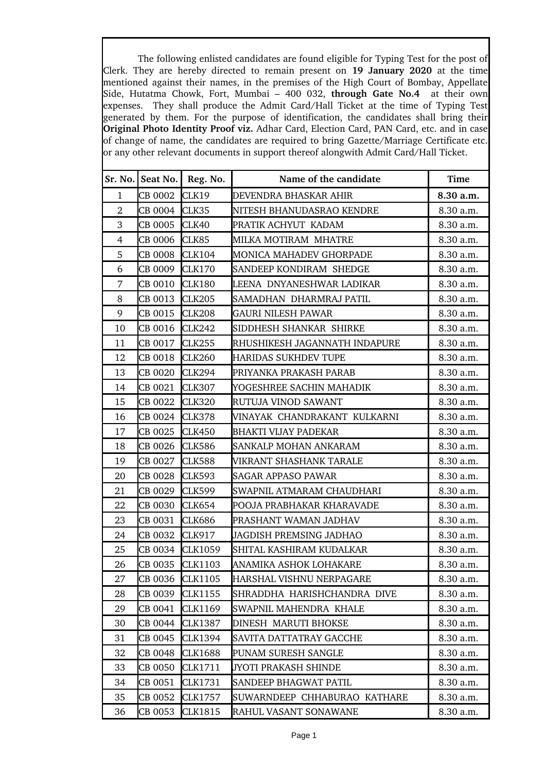The following enlisted candidates are found eligible for Typing Test for the post of Clerk. They are hereby directed to remain present on **19 January 2020** at the time mentioned against their names, in the premises of the High Court of Bombay, Appellate Side, Hutatma Chowk, Fort, Mumbai - 400 032, through Gate No.4 at their own expenses. They shall produce the Admit Card/Hall Ticket at the time of Typing Test generated by them. For the purpose of identification, the candidates shall bring their **Original Photo Identity Proof viz.** Adhar Card, Election Card, PAN Card, etc. and in case of change of name, the candidates are required to bring Gazette/Marriage Certificate etc. or any other relevant documents in support thereof alongwith Admit Card/Hall Ticket.

| Sr. No.        | Seat No. | Reg. No.       | Name of the candidate          | <b>Time</b> |
|----------------|----------|----------------|--------------------------------|-------------|
| 1              | CB 0002  | CLK19          | DEVENDRA BHASKAR AHIR          | 8.30 a.m.   |
| $\overline{2}$ | CB 0004  | CLK35          | NITESH BHANUDASRAO KENDRE      | 8.30 a.m.   |
| 3              | CB 0005  | CLK40          | PRATIK ACHYUT KADAM            | 8.30 a.m.   |
| $\overline{4}$ | CB 0006  | CLK85          | MILKA MOTIRAM MHATRE           | 8.30 a.m.   |
| 5              | CB 0008  | <b>CLK104</b>  | MONICA MAHADEV GHORPADE        | 8.30 a.m.   |
| 6              | CB 0009  | CLK170         | SANDEEP KONDIRAM SHEDGE        | 8.30 a.m.   |
| $\overline{7}$ | CB 0010  | CLK180         | LEENA DNYANESHWAR LADIKAR      | 8.30 a.m.   |
| 8              | CB 0013  | <b>CLK205</b>  | SAMADHAN DHARMRAJ PATIL        | 8.30 a.m.   |
| 9              | CB 0015  | CLK208         | GAURI NILESH PAWAR             | 8.30 a.m.   |
| 10             | CB 0016  | <b>CLK242</b>  | SIDDHESH SHANKAR SHIRKE        | 8.30 a.m.   |
| 11             | CB 0017  | <b>CLK255</b>  | RHUSHIKESH JAGANNATH INDAPURE  | 8.30 a.m.   |
| 12             | CB 0018  | <b>CLK260</b>  | <b>HARIDAS SUKHDEV TUPE</b>    | 8.30 a.m.   |
| 13             | CB 0020  | CLK294         | PRIYANKA PRAKASH PARAB         | 8.30 a.m.   |
| 14             | CB 0021  | <b>CLK307</b>  | YOGESHREE SACHIN MAHADIK       | 8.30 a.m.   |
| 15             | CB 0022  | <b>CLK320</b>  | RUTUJA VINOD SAWANT            | 8.30 a.m.   |
| 16             | CB 0024  | <b>CLK378</b>  | VINAYAK CHANDRAKANT KULKARNI   | 8.30 a.m.   |
| 17             | CB 0025  | <b>CLK450</b>  | BHAKTI VIJAY PADEKAR           | 8.30 a.m.   |
| 18             | CB 0026  | <b>CLK586</b>  | SANKALP MOHAN ANKARAM          | 8.30 a.m.   |
| 19             | CB 0027  | <b>CLK588</b>  | VIKRANT SHASHANK TARALE        | 8.30 a.m.   |
| 20             | CB 0028  | <b>CLK593</b>  | SAGAR APPASO PAWAR             | 8.30 a.m.   |
| 21             | CB 0029  | <b>CLK599</b>  | SWAPNIL ATMARAM CHAUDHARI      | 8.30 a.m.   |
| 22             | CB 0030  | CLK654         | POOJA PRABHAKAR KHARAVADE      | 8.30 a.m.   |
| 23             | CB 0031  | <b>CLK686</b>  | PRASHANT WAMAN JADHAV          | 8.30 a.m.   |
| 24             | CB 0032  | <b>CLK917</b>  | <b>JAGDISH PREMSING JADHAO</b> | 8.30 a.m.   |
| 25             | CB 0034  | <b>CLK1059</b> | SHITAL KASHIRAM KUDALKAR       | 8.30 a.m.   |
| 26             | CB 0035  | <b>CLK1103</b> | ANAMIKA ASHOK LOHAKARE         | 8.30 a.m.   |
| 27             | CB 0036  | <b>CLK1105</b> | HARSHAL VISHNU NERPAGARE       | 8.30 a.m.   |
| 28             | CB 0039  | <b>CLK1155</b> | SHRADDHA HARISHCHANDRA DIVE    | 8.30 a.m.   |
| 29             | CB 0041  | CLK1169        | SWAPNIL MAHENDRA KHALE         | 8.30 a.m.   |
| 30             | CB 0044  | <b>CLK1387</b> | DINESH MARUTI BHOKSE           | 8.30 a.m.   |
| 31             | CB 0045  | CLK1394        | SAVITA DATTATRAY GACCHE        | 8.30 a.m.   |
| 32             | CB 0048  | <b>CLK1688</b> | PUNAM SURESH SANGLE            | 8.30 a.m.   |
| 33             | CB 0050  | CLK1711        | JYOTI PRAKASH SHINDE           | 8.30 a.m.   |
| 34             | CB 0051  | CLK1731        | SANDEEP BHAGWAT PATIL          | 8.30 a.m.   |
| 35             | CB 0052  | <b>CLK1757</b> | SUWARNDEEP CHHABURAO KATHARE   | 8.30 a.m.   |
| 36             | CB 0053  | <b>CLK1815</b> | RAHUL VASANT SONAWANE          | 8.30 a.m.   |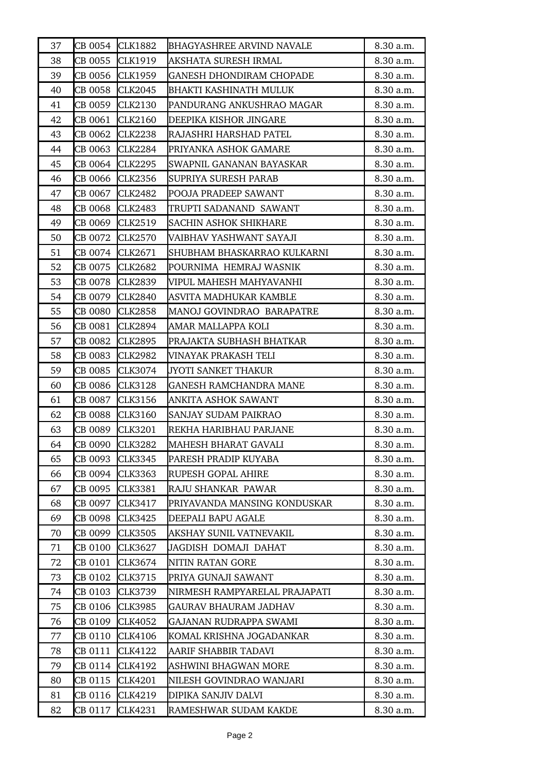| 37 | CB 0054 | <b>CLK1882</b> | <b>BHAGYASHREE ARVIND NAVALE</b> | 8.30 a.m. |
|----|---------|----------------|----------------------------------|-----------|
| 38 | CB 0055 | CLK1919        | AKSHATA SURESH IRMAL             | 8.30 a.m. |
| 39 | CB 0056 | CLK1959        | GANESH DHONDIRAM CHOPADE         | 8.30 a.m. |
| 40 | CB 0058 | CLK2045        | BHAKTI KASHINATH MULUK           | 8.30 a.m. |
| 41 | CB 0059 | CLK2130        | PANDURANG ANKUSHRAO MAGAR        | 8.30 a.m. |
| 42 | CB 0061 | <b>CLK2160</b> | DEEPIKA KISHOR JINGARE           | 8.30 a.m. |
| 43 | CB 0062 | <b>CLK2238</b> | RAJASHRI HARSHAD PATEL           | 8.30 a.m. |
| 44 | CB 0063 | CLK2284        | PRIYANKA ASHOK GAMARE            | 8.30 a.m. |
| 45 | CB 0064 | CLK2295        | SWAPNIL GANANAN BAYASKAR         | 8.30 a.m. |
| 46 | CB 0066 | CLK2356        | SUPRIYA SURESH PARAB             | 8.30 a.m. |
| 47 | CB 0067 | CLK2482        | POOJA PRADEEP SAWANT             | 8.30 a.m. |
| 48 | CB 0068 | <b>CLK2483</b> | TRUPTI SADANAND SAWANT           | 8.30 a.m. |
| 49 | CB 0069 | CLK2519        | <b>SACHIN ASHOK SHIKHARE</b>     | 8.30 a.m. |
| 50 | CB 0072 | <b>CLK2570</b> | VAIBHAV YASHWANT SAYAJI          | 8.30 a.m. |
| 51 | CB 0074 | CLK2671        | SHUBHAM BHASKARRAO KULKARNI      | 8.30 a.m. |
| 52 | CB 0075 | <b>CLK2682</b> | POURNIMA HEMRAJ WASNIK           | 8.30 a.m. |
| 53 | CB 0078 | CLK2839        | VIPUL MAHESH MAHYAVANHI          | 8.30 a.m. |
| 54 | CB 0079 | <b>CLK2840</b> | ASVITA MADHUKAR KAMBLE           | 8.30 a.m. |
| 55 | CB 0080 | <b>CLK2858</b> | MANOJ GOVINDRAO BARAPATRE        | 8.30 a.m. |
| 56 | CB 0081 | <b>CLK2894</b> | AMAR MALLAPPA KOLI               | 8.30 a.m. |
| 57 | CB 0082 | <b>CLK2895</b> | PRAJAKTA SUBHASH BHATKAR         | 8.30 a.m. |
| 58 | CB 0083 | <b>CLK2982</b> | VINAYAK PRAKASH TELI             | 8.30 a.m. |
| 59 | CB 0085 | CLK3074        | JYOTI SANKET THAKUR              | 8.30 a.m. |
| 60 | CB 0086 | CLK3128        | <b>GANESH RAMCHANDRA MANE</b>    | 8.30 a.m. |
| 61 | CB 0087 | <b>CLK3156</b> | ANKITA ASHOK SAWANT              | 8.30 a.m. |
| 62 | CB 0088 | <b>CLK3160</b> | SANJAY SUDAM PAIKRAO             | 8.30 a.m. |
| 63 | CB 0089 | <b>CLK3201</b> | REKHA HARIBHAU PARJANE           | 8.30 a.m. |
| 64 | CB 0090 | <b>CLK3282</b> | <b>MAHESH BHARAT GAVALI</b>      | 8.30 a.m. |
| 65 | CB 0093 | CLK3345        | PARESH PRADIP KUYABA             | 8.30 a.m. |
| 66 | CB 0094 | CLK3363        | RUPESH GOPAL AHIRE               | 8.30 a.m. |
| 67 | CB 0095 | <b>CLK3381</b> | RAJU SHANKAR PAWAR               | 8.30 a.m. |
| 68 | CB 0097 | CLK3417        | PRIYAVANDA MANSING KONDUSKAR     | 8.30 a.m. |
| 69 | CB 0098 | CLK3425        | DEEPALI BAPU AGALE               | 8.30 a.m. |
| 70 | CB 0099 | CLK3505        | AKSHAY SUNIL VATNEVAKIL          | 8.30 a.m. |
| 71 | CB 0100 | CLK3627        | JAGDISH DOMAJI DAHAT             | 8.30 a.m. |
| 72 | CB 0101 | CLK3674        | NITIN RATAN GORE                 | 8.30 a.m. |
| 73 | CB 0102 | CLK3715        | PRIYA GUNAJI SAWANT              | 8.30 a.m. |
| 74 | CB 0103 | CLK3739        | NIRMESH RAMPYARELAL PRAJAPATI    | 8.30 a.m. |
| 75 | CB 0106 | CLK3985        | GAURAV BHAURAM JADHAV            | 8.30 a.m. |
| 76 | CB 0109 | CLK4052        | GAJANAN RUDRAPPA SWAMI           | 8.30 a.m. |
| 77 | CB 0110 | CLK4106        | KOMAL KRISHNA JOGADANKAR         | 8.30 a.m. |
| 78 | CB 0111 | CLK4122        | AARIF SHABBIR TADAVI             | 8.30 a.m. |
| 79 | CB 0114 | CLK4192        | ASHWINI BHAGWAN MORE             | 8.30 a.m. |
| 80 | CB 0115 | CLK4201        | NILESH GOVINDRAO WANJARI         | 8.30 a.m. |
| 81 | CB 0116 | CLK4219        | DIPIKA SANJIV DALVI              | 8.30 a.m. |
| 82 | CB 0117 | CLK4231        | RAMESHWAR SUDAM KAKDE            | 8.30 a.m. |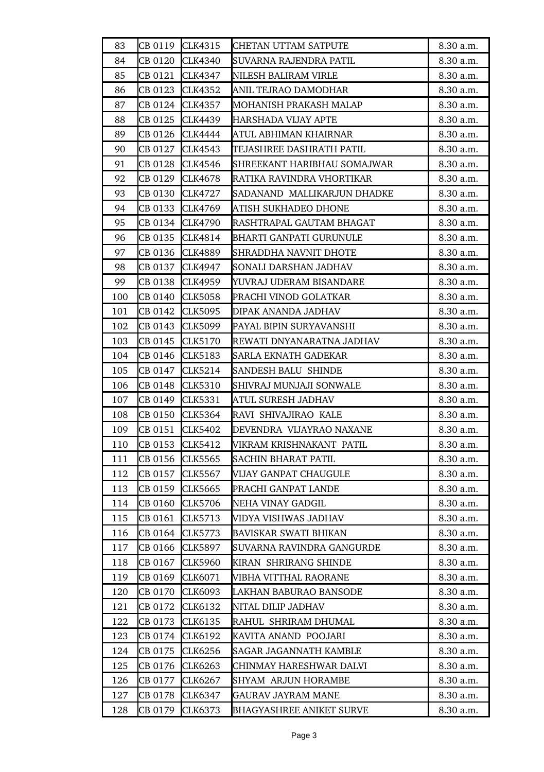| 83  | CB 0119 | CLK4315        | CHETAN UTTAM SATPUTE            | 8.30 a.m. |
|-----|---------|----------------|---------------------------------|-----------|
| 84  | CB 0120 | <b>CLK4340</b> | SUVARNA RAJENDRA PATIL          | 8.30 a.m. |
| 85  | CB 0121 | CLK4347        | NILESH BALIRAM VIRLE            | 8.30 a.m. |
| 86  | CB 0123 | <b>CLK4352</b> | ANIL TEJRAO DAMODHAR            | 8.30 a.m. |
| 87  | CB 0124 | CLK4357        | MOHANISH PRAKASH MALAP          | 8.30 a.m. |
| 88  | CB 0125 | CLK4439        | HARSHADA VIJAY APTE             | 8.30 a.m. |
| 89  | CB 0126 | <b>CLK4444</b> | ATUL ABHIMAN KHAIRNAR           | 8.30 a.m. |
| 90  | CB 0127 | <b>CLK4543</b> | TEJASHREE DASHRATH PATIL        | 8.30 a.m. |
| 91  | CB 0128 | <b>CLK4546</b> | SHREEKANT HARIBHAU SOMAJWAR     | 8.30 a.m. |
| 92  | CB 0129 | CLK4678        | RATIKA RAVINDRA VHORTIKAR       | 8.30 a.m. |
| 93  | CB 0130 | <b>CLK4727</b> | SADANAND MALLIKARJUN DHADKE     | 8.30 a.m. |
| 94  | CB 0133 | CLK4769        | ATISH SUKHADEO DHONE            | 8.30 a.m. |
| 95  | CB 0134 | <b>CLK4790</b> | RASHTRAPAL GAUTAM BHAGAT        | 8.30 a.m. |
| 96  | CB 0135 | CLK4814        | <b>BHARTI GANPATI GURUNULE</b>  | 8.30 a.m. |
| 97  | CB 0136 | <b>CLK4889</b> | <b>SHRADDHA NAVNIT DHOTE</b>    | 8.30 a.m. |
| 98  | CB 0137 | CLK4947        | SONALI DARSHAN JADHAV           | 8.30 a.m. |
| 99  | CB 0138 | CLK4959        | YUVRAJ UDERAM BISANDARE         | 8.30 a.m. |
| 100 | CB 0140 | <b>CLK5058</b> | PRACHI VINOD GOLATKAR           | 8.30 a.m. |
| 101 | CB 0142 | <b>CLK5095</b> | DIPAK ANANDA JADHAV             | 8.30 a.m. |
| 102 | CB 0143 | <b>CLK5099</b> | PAYAL BIPIN SURYAVANSHI         | 8.30 a.m. |
| 103 | CB 0145 | CLK5170        | REWATI DNYANARATNA JADHAV       | 8.30 a.m. |
| 104 | CB 0146 | CLK5183        | <b>SARLA EKNATH GADEKAR</b>     | 8.30 a.m. |
| 105 | CB 0147 | <b>CLK5214</b> | <b>SANDESH BALU SHINDE</b>      | 8.30 a.m. |
| 106 | CB 0148 | <b>CLK5310</b> | SHIVRAJ MUNJAJI SONWALE         | 8.30 a.m. |
| 107 | CB 0149 | <b>CLK5331</b> | ATUL SURESH JADHAV              | 8.30 a.m. |
| 108 | CB 0150 | <b>CLK5364</b> | RAVI SHIVAJIRAO KALE            | 8.30 a.m. |
| 109 | CB 0151 | <b>CLK5402</b> | DEVENDRA VIJAYRAO NAXANE        | 8.30 a.m. |
| 110 | CB 0153 | <b>CLK5412</b> | VIKRAM KRISHNAKANT PATIL        | 8.30 a.m. |
| 111 | CB 0156 | <b>CLK5565</b> | <b>SACHIN BHARAT PATIL</b>      | 8.30 a.m. |
| 112 | CB 0157 | <b>CLK5567</b> | VIJAY GANPAT CHAUGULE           | 8.30 a.m. |
| 113 | CB 0159 | <b>CLK5665</b> | PRACHI GANPAT LANDE             | 8.30 a.m. |
| 114 | CB 0160 | <b>CLK5706</b> | NEHA VINAY GADGIL               | 8.30 a.m. |
| 115 | CB 0161 | CLK5713        | VIDYA VISHWAS JADHAV            | 8.30 a.m. |
| 116 | CB 0164 | CLK5773        | <b>BAVISKAR SWATI BHIKAN</b>    | 8.30 a.m. |
| 117 | CB 0166 | <b>CLK5897</b> | SUVARNA RAVINDRA GANGURDE       | 8.30 a.m. |
| 118 | CB 0167 | <b>CLK5960</b> | KIRAN SHRIRANG SHINDE           | 8.30 a.m. |
| 119 | CB 0169 | CLK6071        | VIBHA VITTHAL RAORANE           | 8.30 a.m. |
| 120 | CB 0170 | <b>CLK6093</b> | LAKHAN BABURAO BANSODE          | 8.30 a.m. |
| 121 | CB 0172 | CLK6132        | NITAL DILIP JADHAV              | 8.30 a.m. |
| 122 | CB 0173 | CLK6135        | RAHUL SHRIRAM DHUMAL            | 8.30 a.m. |
| 123 | CB 0174 | CLK6192        | KAVITA ANAND POOJARI            | 8.30 a.m. |
| 124 | CB 0175 | <b>CLK6256</b> | <b>SAGAR JAGANNATH KAMBLE</b>   | 8.30 a.m. |
| 125 | CB 0176 | CLK6263        | CHINMAY HARESHWAR DALVI         | 8.30 a.m. |
| 126 | CB 0177 | CLK6267        | <b>SHYAM ARJUN HORAMBE</b>      | 8.30 a.m. |
| 127 | CB 0178 | CLK6347        | <b>GAURAV JAYRAM MANE</b>       | 8.30 a.m. |
| 128 | CB 0179 | <b>CLK6373</b> | <b>BHAGYASHREE ANIKET SURVE</b> | 8.30 a.m. |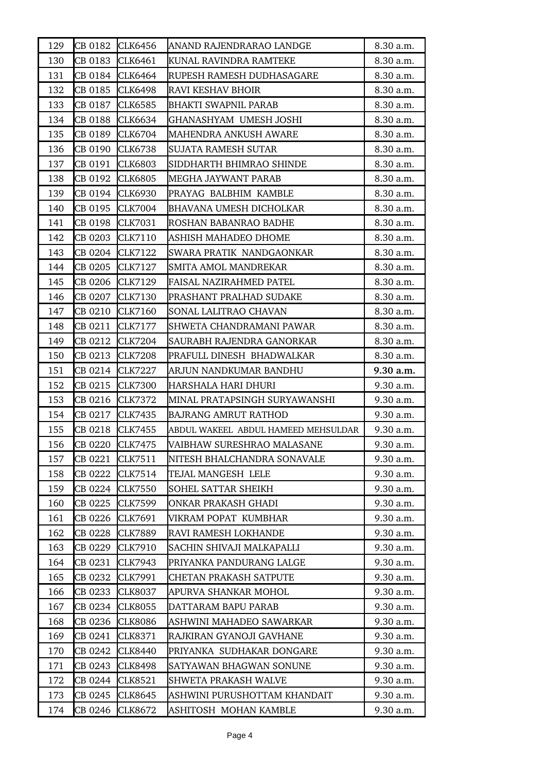| 129 | CB 0182 | <b>CLK6456</b> | ANAND RAJENDRARAO LANDGE            | 8.30 a.m. |
|-----|---------|----------------|-------------------------------------|-----------|
| 130 | CB 0183 | <b>CLK6461</b> | KUNAL RAVINDRA RAMTEKE              | 8.30 a.m. |
| 131 | CB 0184 | <b>CLK6464</b> | RUPESH RAMESH DUDHASAGARE           | 8.30 a.m. |
| 132 | CB 0185 | <b>CLK6498</b> | RAVI KESHAV BHOIR                   | 8.30 a.m. |
| 133 | CB 0187 | CLK6585        | <b>BHAKTI SWAPNIL PARAB</b>         | 8.30 a.m. |
| 134 | CB 0188 | CLK6634        | GHANASHYAM UMESH JOSHI              | 8.30 a.m. |
| 135 | CB 0189 | CLK6704        | MAHENDRA ANKUSH AWARE               | 8.30 a.m. |
| 136 | CB 0190 | <b>CLK6738</b> | SUJATA RAMESH SUTAR                 | 8.30 a.m. |
| 137 | CB 0191 | <b>CLK6803</b> | SIDDHARTH BHIMRAO SHINDE            | 8.30 a.m. |
| 138 | CB 0192 | <b>CLK6805</b> | MEGHA JAYWANT PARAB                 | 8.30 a.m. |
| 139 | CB 0194 | <b>CLK6930</b> | PRAYAG BALBHIM KAMBLE               | 8.30 a.m. |
| 140 | CB 0195 | <b>CLK7004</b> | <b>BHAVANA UMESH DICHOLKAR</b>      | 8.30 a.m. |
| 141 | CB 0198 | <b>CLK7031</b> | ROSHAN BABANRAO BADHE               | 8.30 a.m. |
| 142 | CB 0203 | CLK7110        | ASHISH MAHADEO DHOME                | 8.30 a.m. |
| 143 | CB 0204 | <b>CLK7122</b> | SWARA PRATIK NANDGAONKAR            | 8.30 a.m. |
| 144 | CB 0205 | CLK7127        | SMITA AMOL MANDREKAR                | 8.30 a.m. |
| 145 | CB 0206 | CLK7129        | <b>FAISAL NAZIRAHMED PATEL</b>      | 8.30 a.m. |
| 146 | CB 0207 | CLK7130        | PRASHANT PRALHAD SUDAKE             | 8.30 a.m. |
| 147 | CB 0210 | <b>CLK7160</b> | SONAL LALITRAO CHAVAN               | 8.30 a.m. |
| 148 | CB 0211 | <b>CLK7177</b> | SHWETA CHANDRAMANI PAWAR            | 8.30 a.m. |
| 149 | CB 0212 | <b>CLK7204</b> | SAURABH RAJENDRA GANORKAR           | 8.30 a.m. |
| 150 | CB 0213 | <b>CLK7208</b> | PRAFULL DINESH BHADWALKAR           | 8.30 a.m. |
| 151 | CB 0214 | CLK7227        | ARJUN NANDKUMAR BANDHU              | 9.30 a.m. |
| 152 | CB 0215 | <b>CLK7300</b> | HARSHALA HARI DHURI                 | 9.30 a.m. |
| 153 | CB 0216 | <b>CLK7372</b> | MINAL PRATAPSINGH SURYAWANSHI       | 9.30 a.m. |
| 154 | CB 0217 | CLK7435        | <b>BAJRANG AMRUT RATHOD</b>         | 9.30 a.m. |
| 155 | CB 0218 | CLK7455        | ABDUL WAKEEL ABDUL HAMEED MEHSULDAR | 9.30 a.m. |
| 156 | CB 0220 | CLK7475        | VAIBHAW SURESHRAO MALASANE          | 9.30 a.m. |
| 157 | CB 0221 | <b>CLK7511</b> | NITESH BHALCHANDRA SONAVALE         | 9.30 a.m. |
| 158 | CB 0222 | CLK7514        | TEJAL MANGESH LELE                  | 9.30 a.m. |
| 159 | CB 0224 | CLK7550        | SOHEL SATTAR SHEIKH                 | 9.30 a.m. |
| 160 | CB 0225 | CLK7599        | ONKAR PRAKASH GHADI                 | 9.30 a.m. |
| 161 | CB 0226 | CLK7691        | VIKRAM POPAT KUMBHAR                | 9.30 a.m. |
| 162 | CB 0228 | <b>CLK7889</b> | RAVI RAMESH LOKHANDE                | 9.30 a.m. |
| 163 | CB 0229 | CLK7910        | SACHIN SHIVAJI MALKAPALLI           | 9.30 a.m. |
| 164 | CB 0231 | CLK7943        | PRIYANKA PANDURANG LALGE            | 9.30 a.m. |
| 165 | CB 0232 | CLK7991        | CHETAN PRAKASH SATPUTE              | 9.30 a.m. |
| 166 | CB 0233 | CLK8037        | APURVA SHANKAR MOHOL                | 9.30 a.m. |
| 167 | CB 0234 | CLK8055        | DATTARAM BAPU PARAB                 | 9.30 a.m. |
| 168 | CB 0236 | CLK8086        | ASHWINI MAHADEO SAWARKAR            | 9.30 a.m. |
| 169 | CB 0241 | CLK8371        | RAJKIRAN GYANOJI GAVHANE            | 9.30 a.m. |
| 170 | CB 0242 | CLK8440        | PRIYANKA SUDHAKAR DONGARE           | 9.30 a.m. |
| 171 | CB 0243 | CLK8498        | SATYAWAN BHAGWAN SONUNE             | 9.30 a.m. |
| 172 | CB 0244 | CLK8521        | SHWETA PRAKASH WALVE                | 9.30 a.m. |
| 173 | CB 0245 | CLK8645        | ASHWINI PURUSHOTTAM KHANDAIT        | 9.30 a.m. |
|     |         |                |                                     |           |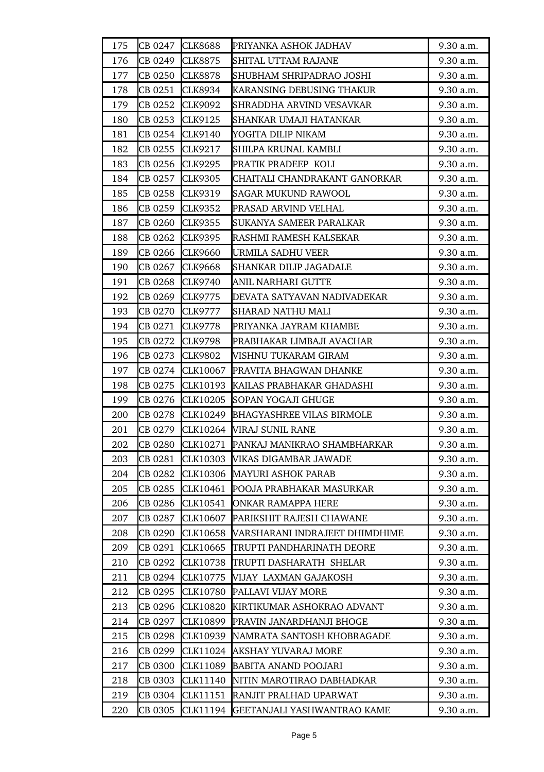| 175 | CB 0247 | <b>CLK8688</b>  | PRIYANKA ASHOK JADHAV            | 9.30 a.m. |
|-----|---------|-----------------|----------------------------------|-----------|
| 176 | CB 0249 | <b>CLK8875</b>  | SHITAL UTTAM RAJANE              | 9.30 a.m. |
| 177 | CB 0250 | <b>CLK8878</b>  | SHUBHAM SHRIPADRAO JOSHI         | 9.30 a.m. |
| 178 | CB 0251 | CLK8934         | KARANSING DEBUSING THAKUR        | 9.30 a.m. |
| 179 | CB 0252 | CLK9092         | SHRADDHA ARVIND VESAVKAR         | 9.30 a.m. |
| 180 | CB 0253 | CLK9125         | SHANKAR UMAJI HATANKAR           | 9.30 a.m. |
| 181 | CB 0254 | <b>CLK9140</b>  | YOGITA DILIP NIKAM               | 9.30 a.m. |
| 182 | CB 0255 | CLK9217         | SHILPA KRUNAL KAMBLI             | 9.30 a.m. |
| 183 | CB 0256 | CLK9295         | PRATIK PRADEEP KOLI              | 9.30 a.m. |
| 184 | CB 0257 | <b>CLK9305</b>  | CHAITALI CHANDRAKANT GANORKAR    | 9.30 a.m. |
| 185 | CB 0258 | CLK9319         | <b>SAGAR MUKUND RAWOOL</b>       | 9.30 a.m. |
| 186 | CB 0259 | <b>CLK9352</b>  | PRASAD ARVIND VELHAL             | 9.30 a.m. |
| 187 | CB 0260 | <b>CLK9355</b>  | SUKANYA SAMEER PARALKAR          | 9.30 a.m. |
| 188 | CB 0262 | CLK9395         | RASHMI RAMESH KALSEKAR           | 9.30 a.m. |
| 189 | CB 0266 | <b>CLK9660</b>  | URMILA SADHU VEER                | 9.30 a.m. |
| 190 | CB 0267 | <b>CLK9668</b>  | <b>SHANKAR DILIP JAGADALE</b>    | 9.30 a.m. |
| 191 | CB 0268 | <b>CLK9740</b>  | ANIL NARHARI GUTTE               | 9.30 a.m. |
| 192 | CB 0269 | CLK9775         | DEVATA SATYAVAN NADIVADEKAR      | 9.30 a.m. |
| 193 | CB 0270 | CLK9777         | <b>SHARAD NATHU MALI</b>         | 9.30 a.m. |
| 194 | CB 0271 | <b>CLK9778</b>  | PRIYANKA JAYRAM KHAMBE           | 9.30 a.m. |
| 195 | CB 0272 | <b>CLK9798</b>  | PRABHAKAR LIMBAJI AVACHAR        | 9.30 a.m. |
| 196 | CB 0273 | <b>CLK9802</b>  | VISHNU TUKARAM GIRAM             | 9.30 a.m. |
| 197 | CB 0274 | CLK10067        | PRAVITA BHAGWAN DHANKE           | 9.30 a.m. |
| 198 | CB 0275 | CLK10193        | KAILAS PRABHAKAR GHADASHI        | 9.30 a.m. |
| 199 | CB 0276 | <b>CLK10205</b> | SOPAN YOGAJI GHUGE               | 9.30 a.m. |
| 200 | CB 0278 | CLK10249        | <b>BHAGYASHREE VILAS BIRMOLE</b> | 9.30 a.m. |
| 201 | CB 0279 | CLK10264        | VIRAJ SUNIL RANE                 | 9.30 a.m. |
| 202 | CB 0280 | CLK10271        | PANKAJ MANIKRAO SHAMBHARKAR      | 9.30 a.m. |
| 203 | CB 0281 | CLK10303        | VIKAS DIGAMBAR JAWADE            | 9.30 a.m. |
| 204 | CB 0282 | CLK10306        | MAYURI ASHOK PARAB               | 9.30 a.m. |
| 205 | CB 0285 | CLK10461        | POOJA PRABHAKAR MASURKAR         | 9.30 a.m. |
| 206 | CB 0286 | CLK10541        | <b>ONKAR RAMAPPA HERE</b>        | 9.30 a.m. |
| 207 | CB 0287 | CLK10607        | PARIKSHIT RAJESH CHAWANE         | 9.30 a.m. |
| 208 | CB 0290 | CLK10658        | VARSHARANI INDRAJEET DHIMDHIME   | 9.30 a.m. |
| 209 | CB 0291 | CLK10665        | TRUPTI PANDHARINATH DEORE        | 9.30 a.m. |
| 210 | CB 0292 | CLK10738        | TRUPTI DASHARATH SHELAR          | 9.30 a.m. |
| 211 | CB 0294 | CLK10775        | VIJAY LAXMAN GAJAKOSH            | 9.30 a.m. |
| 212 | CB 0295 | CLK10780        | PALLAVI VIJAY MORE               | 9.30 a.m. |
| 213 | CB 0296 | CLK10820        | KIRTIKUMAR ASHOKRAO ADVANT       | 9.30 a.m. |
| 214 | CB 0297 | CLK10899        | PRAVIN JANARDHANJI BHOGE         | 9.30 a.m. |
| 215 | CB 0298 | CLK10939        | NAMRATA SANTOSH KHOBRAGADE       | 9.30 a.m. |
| 216 | CB 0299 | CLK11024        | AKSHAY YUVARAJ MORE              | 9.30 a.m. |
| 217 | CB 0300 | CLK11089        | <b>BABITA ANAND POOJARI</b>      | 9.30 a.m. |
| 218 | CB 0303 | CLK11140        | NITIN MAROTIRAO DABHADKAR        | 9.30 a.m. |
| 219 | CB 0304 | CLK11151        | RANJIT PRALHAD UPARWAT           | 9.30 a.m. |
| 220 | CB 0305 | CLK11194        | GEETANJALI YASHWANTRAO KAME      | 9.30 a.m. |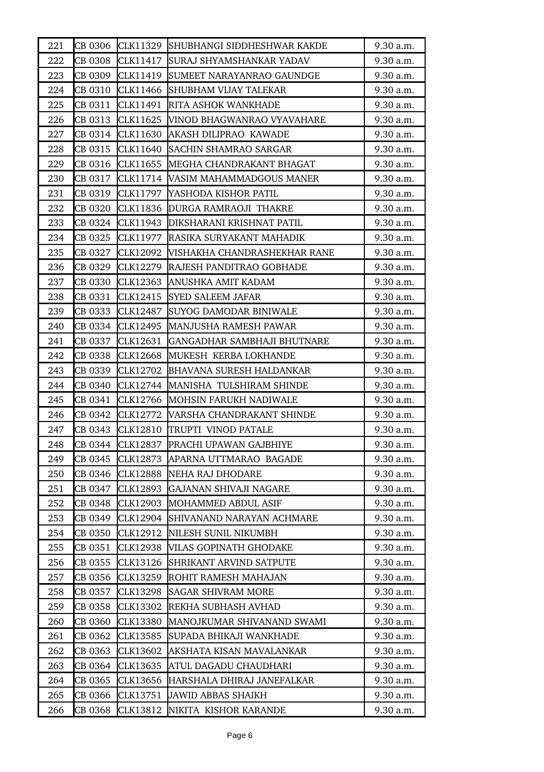| 221 | CB 0306 | CLK11329        | SHUBHANGI SIDDHESHWAR KAKDE        | 9.30 a.m. |
|-----|---------|-----------------|------------------------------------|-----------|
| 222 | CB 0308 | CLK11417        | SURAJ SHYAMSHANKAR YADAV           | 9.30 a.m. |
| 223 | CB 0309 | CLK11419        | SUMEET NARAYANRAO GAUNDGE          | 9.30 a.m. |
| 224 | CB 0310 | CLK11466        | <b>SHUBHAM VIJAY TALEKAR</b>       | 9.30 a.m. |
| 225 | CB 0311 | CLK11491        | <b>RITA ASHOK WANKHADE</b>         | 9.30 a.m. |
| 226 | CB 0313 | CLK11625        | <b>NINOD BHAGWANRAO VYAVAHARE</b>  | 9.30 a.m. |
| 227 | CB 0314 | CLK11630        | AKASH DILIPRAO KAWADE              | 9.30 a.m. |
| 228 | CB 0315 | CLK11640        | <b>SACHIN SHAMRAO SARGAR</b>       | 9.30 a.m. |
| 229 | CB 0316 | CLK11655        | MEGHA CHANDRAKANT BHAGAT           | 9.30 a.m. |
| 230 | CB 0317 | CLK11714        | VASIM MAHAMMADGOUS MANER           | 9.30 a.m. |
| 231 | CB 0319 | CLK11797        | YASHODA KISHOR PATIL               | 9.30 a.m. |
| 232 | CB 0320 |                 | CLK11836 DURGA RAMRAOJI THAKRE     | 9.30 a.m. |
| 233 | CB 0324 |                 | CLK11943 DIKSHARANI KRISHNAT PATIL | 9.30 a.m. |
| 234 | CB 0325 |                 | CLK11977  RASIKA SURYAKANT MAHADIK | 9.30 a.m. |
| 235 | CB 0327 | CLK12092        | VISHAKHA CHANDRASHEKHAR RANE       | 9.30 a.m. |
| 236 | CB 0329 |                 | CLK12279 RAJESH PANDITRAO GOBHADE  | 9.30 a.m. |
| 237 | CB 0330 | CLK12363        | ANUSHKA AMIT KADAM                 | 9.30 a.m. |
| 238 | CB 0331 | CLK12415        | <b>SYED SALEEM JAFAR</b>           | 9.30 a.m. |
| 239 | CB 0333 | CLK12487        | <b>SUYOG DAMODAR BINIWALE</b>      | 9.30 a.m. |
| 240 | CB 0334 | CLK12495        | MANJUSHA RAMESH PAWAR              | 9.30 a.m. |
| 241 | CB 0337 | CLK12631        | <b>GANGADHAR SAMBHAJI BHUTNARE</b> | 9.30 a.m. |
| 242 | CB 0338 | CLK12668        | MUKESH KERBA LOKHANDE              | 9.30 a.m. |
| 243 | CB 0339 | CLK12702        | BHAVANA SURESH HALDANKAR           | 9.30 a.m. |
| 244 | CB 0340 | CLK12744        | MANISHA TULSHIRAM SHINDE           | 9.30 a.m. |
| 245 | CB 0341 | CLK12766        | <b>MOHSIN FARUKH NADIWALE</b>      | 9.30 a.m. |
| 246 | CB 0342 | CLK12772        | <b>VARSHA CHANDRAKANT SHINDE</b>   | 9.30 a.m. |
| 247 | CB 0343 | CLK12810        | TRUPTI VINOD PATALE                | 9.30 a.m. |
| 248 | CB 0344 | CLK12837        | PRACHI UPAWAN GAJBHIYE             | 9.30 a.m. |
| 249 | CB 0345 | CLK12873        | APARNA UTTMARAO BAGADE             | 9.30 a.m. |
| 250 | CB 0346 | CLK12888        | NEHA RAJ DHODARE                   | 9.30 a.m. |
| 251 | CB 0347 | CLK12893        | <b>GAJANAN SHIVAJI NAGARE</b>      | 9.30 a.m. |
| 252 | CB 0348 | CLK12903        | MOHAMMED ABDUL ASIF                | 9.30 a.m. |
| 253 | CB 0349 | CLK12904        | SHIVANAND NARAYAN ACHMARE          | 9.30 a.m. |
| 254 | CB 0350 | CLK12912        | NILESH SUNIL NIKUMBH               | 9.30 a.m. |
| 255 | CB 0351 | CLK12938        | VILAS GOPINATH GHODAKE             | 9.30 a.m. |
| 256 | CB 0355 | CLK13126        | SHRIKANT ARVIND SATPUTE            | 9.30 a.m. |
| 257 | CB 0356 | CLK13259        | ROHIT RAMESH MAHAJAN               | 9.30 a.m. |
| 258 | CB 0357 | <b>CLK13298</b> | <b>SAGAR SHIVRAM MORE</b>          | 9.30 a.m. |
| 259 | CB 0358 | CLK13302        | REKHA SUBHASH AVHAD                | 9.30 a.m. |
| 260 | CB 0360 | CLK13380        | MANOJKUMAR SHIVANAND SWAMI         | 9.30 a.m. |
| 261 | CB 0362 | CLK13585        | SUPADA BHIKAJI WANKHADE            | 9.30 a.m. |
| 262 | CB 0363 | CLK13602        | AKSHATA KISAN MAVALANKAR           | 9.30 a.m. |
| 263 | CB 0364 | CLK13635        | ATUL DAGADU CHAUDHARI              | 9.30 a.m. |
| 264 | CB 0365 | CLK13656        | HARSHALA DHIRAJ JANEFALKAR         | 9.30 a.m. |
| 265 | CB 0366 | CLK13751        | <b>JAWID ABBAS SHAIKH</b>          | 9.30 a.m. |
| 266 | CB 0368 | CLK13812        | NIKITA KISHOR KARANDE              | 9.30 a.m. |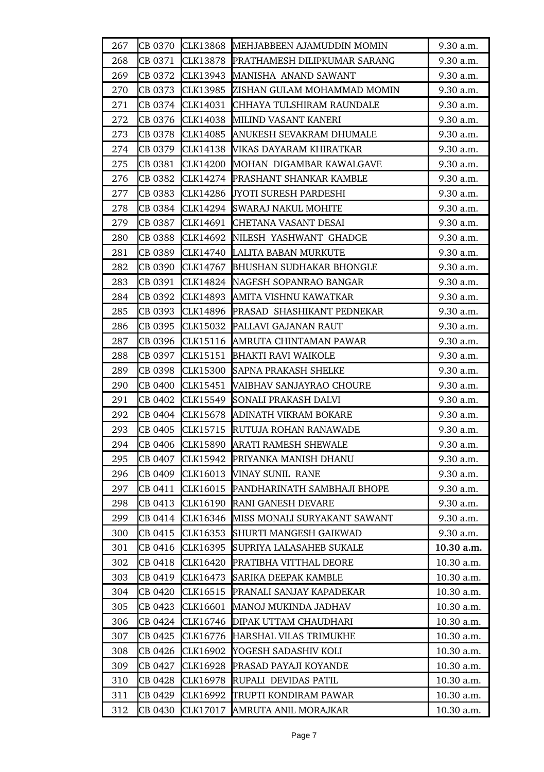| 267 | CB 0370 | CLK13868        | MEHJABBEEN AJAMUDDIN MOMIN      | 9.30 a.m.  |
|-----|---------|-----------------|---------------------------------|------------|
| 268 | CB 0371 | <b>CLK13878</b> | PRATHAMESH DILIPKUMAR SARANG    | 9.30 a.m.  |
| 269 | CB 0372 | CLK13943        | MANISHA ANAND SAWANT            | 9.30 a.m.  |
| 270 | CB 0373 | CLK13985        | ZISHAN GULAM MOHAMMAD MOMIN     | 9.30 a.m.  |
| 271 | CB 0374 | CLK14031        | CHHAYA TULSHIRAM RAUNDALE       | 9.30 a.m.  |
| 272 | CB 0376 | CLK14038        | MILIND VASANT KANERI            | 9.30 a.m.  |
| 273 | CB 0378 | CLK14085        | ANUKESH SEVAKRAM DHUMALE        | 9.30 a.m.  |
| 274 | CB 0379 | CLK14138        | VIKAS DAYARAM KHIRATKAR         | 9.30 a.m.  |
| 275 | CB 0381 | CLK14200        | MOHAN DIGAMBAR KAWALGAVE        | 9.30 a.m.  |
| 276 | CB 0382 | CLK14274        | <b>PRASHANT SHANKAR KAMBLE</b>  | 9.30 a.m.  |
| 277 | CB 0383 | CLK14286        | JYOTI SURESH PARDESHI           | 9.30 a.m.  |
| 278 | CB 0384 | CLK14294        | <b>SWARAJ NAKUL MOHITE</b>      | 9.30 a.m.  |
| 279 | CB 0387 | CLK14691        | <b>CHETANA VASANT DESAI</b>     | 9.30 a.m.  |
| 280 | CB 0388 | CLK14692        | NILESH YASHWANT GHADGE          | 9.30 a.m.  |
| 281 | CB 0389 | CLK14740        | LALITA BABAN MURKUTE            | 9.30 a.m.  |
| 282 | CB 0390 | CLK14767        | <b>BHUSHAN SUDHAKAR BHONGLE</b> | 9.30 a.m.  |
| 283 | CB 0391 | CLK14824        | NAGESH SOPANRAO BANGAR          | 9.30 a.m.  |
| 284 | CB 0392 | CLK14893        | AMITA VISHNU KAWATKAR           | 9.30 a.m.  |
| 285 | CB 0393 | CLK14896        | PRASAD SHASHIKANT PEDNEKAR      | 9.30 a.m.  |
| 286 | CB 0395 | CLK15032        | PALLAVI GAJANAN RAUT            | 9.30 a.m.  |
| 287 | CB 0396 | CLK15116        | AMRUTA CHINTAMAN PAWAR          | 9.30 a.m.  |
| 288 | CB 0397 | CLK15151        | <b>BHAKTI RAVI WAIKOLE</b>      | 9.30 a.m.  |
| 289 | CB 0398 | CLK15300        | <b>SAPNA PRAKASH SHELKE</b>     | 9.30 a.m.  |
| 290 | CB 0400 | CLK15451        | VAIBHAV SANJAYRAO CHOURE        | 9.30 a.m.  |
| 291 | CB 0402 | CLK15549        | SONALI PRAKASH DALVI            | 9.30 a.m.  |
| 292 | CB 0404 | CLK15678        | ADINATH VIKRAM BOKARE           | 9.30 a.m.  |
| 293 | CB 0405 | CLK15715        | RUTUJA ROHAN RANAWADE           | 9.30 a.m.  |
| 294 | CB 0406 | CLK15890        | <b>ARATI RAMESH SHEWALE</b>     | 9.30 a.m.  |
| 295 | CB 0407 | CLK15942        | PRIYANKA MANISH DHANU           | 9.30 a.m.  |
| 296 | CB 0409 | CLK16013        | <b>VINAY SUNIL RANE</b>         | 9.30 a.m.  |
| 297 | CB 0411 | CLK16015        | PANDHARINATH SAMBHAJI BHOPE     | 9.30 a.m.  |
| 298 | CB 0413 | CLK16190        | RANI GANESH DEVARE              | 9.30 a.m.  |
| 299 | CB 0414 | CLK16346        | MISS MONALI SURYAKANT SAWANT    | 9.30 a.m.  |
| 300 | CB 0415 | CLK16353        | SHURTI MANGESH GAIKWAD          | 9.30 a.m.  |
| 301 | CB 0416 | CLK16395        | SUPRIYA LALASAHEB SUKALE        | 10.30 a.m. |
| 302 | CB 0418 | CLK16420        | PRATIBHA VITTHAL DEORE          | 10.30 a.m. |
| 303 | CB 0419 | CLK16473        | <b>SARIKA DEEPAK KAMBLE</b>     | 10.30 a.m. |
| 304 | CB 0420 | CLK16515        | PRANALI SANJAY KAPADEKAR        | 10.30 a.m. |
| 305 | CB 0423 | CLK16601        | MANOJ MUKINDA JADHAV            | 10.30 a.m. |
| 306 | CB 0424 | CLK16746        | DIPAK UTTAM CHAUDHARI           | 10.30 a.m. |
| 307 | CB 0425 | CLK16776        | HARSHAL VILAS TRIMUKHE          | 10.30 a.m. |
| 308 | CB 0426 | CLK16902        | YOGESH SADASHIV KOLI            | 10.30 a.m. |
| 309 | CB 0427 | CLK16928        | PRASAD PAYAJI KOYANDE           | 10.30 a.m. |
| 310 | CB 0428 | CLK16978        | RUPALI DEVIDAS PATIL            | 10.30 a.m. |
| 311 | CB 0429 | CLK16992        | TRUPTI KONDIRAM PAWAR           | 10.30 a.m. |
| 312 | CB 0430 | CLK17017        | AMRUTA ANIL MORAJKAR            | 10.30 a.m. |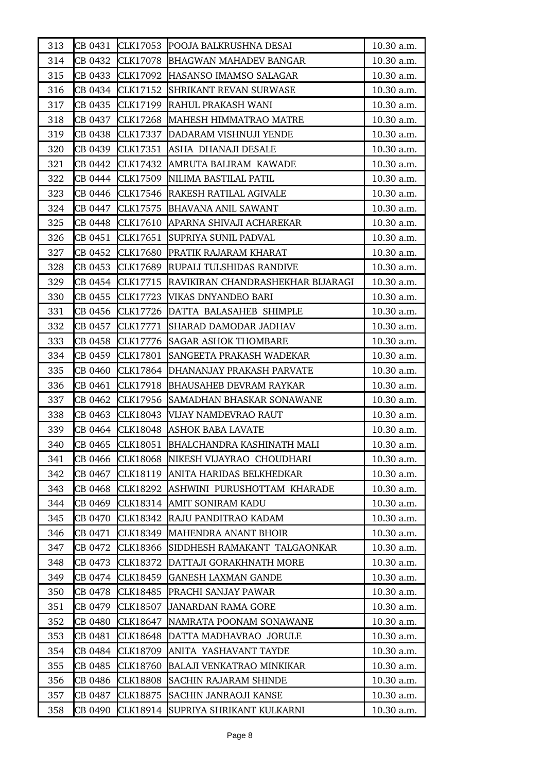| 313 | CB 0431 |                 | CLK17053 POOJA BALKRUSHNA DESAI            | 10.30 a.m. |
|-----|---------|-----------------|--------------------------------------------|------------|
| 314 | CB 0432 |                 | CLK17078 BHAGWAN MAHADEV BANGAR            | 10.30 a.m. |
| 315 | CB 0433 | CLK17092        | HASANSO IMAMSO SALAGAR                     | 10.30 a.m. |
| 316 | CB 0434 | CLK17152        | <b>SHRIKANT REVAN SURWASE</b>              | 10.30 a.m. |
| 317 | CB 0435 |                 | CLK17199 RAHUL PRAKASH WANI                | 10.30 a.m. |
| 318 | CB 0437 |                 | CLK17268 MAHESH HIMMATRAO MATRE            | 10.30 a.m. |
| 319 | CB 0438 | CLK17337        | DADARAM VISHNUJI YENDE                     | 10.30 a.m. |
| 320 | CB 0439 | CLK17351        | ASHA DHANAJI DESALE                        | 10.30 a.m. |
| 321 | CB 0442 | CLK17432        | AMRUTA BALIRAM KAWADE                      | 10.30 a.m. |
| 322 | CB 0444 |                 | CLK17509  NILIMA BASTILAL PATIL            | 10.30 a.m. |
| 323 | CB 0446 |                 | CLK17546 RAKESH RATILAL AGIVALE            | 10.30 a.m. |
| 324 | CB 0447 | CLK17575        | <b>BHAVANA ANIL SAWANT</b>                 | 10.30 a.m. |
| 325 | CB 0448 |                 | CLK17610 APARNA SHIVAJI ACHAREKAR          | 10.30 a.m. |
| 326 | CB 0451 | CLK17651        | SUPRIYA SUNIL PADVAL                       | 10.30 a.m. |
| 327 | CB 0452 | CLK17680        | PRATIK RAJARAM KHARAT                      | 10.30 a.m. |
| 328 | CB 0453 |                 | CLK17689 RUPALI TULSHIDAS RANDIVE          | 10.30 a.m. |
| 329 | CB 0454 |                 | CLK17715 RAVIKIRAN CHANDRASHEKHAR BIJARAGI | 10.30 a.m. |
| 330 | CB 0455 |                 | CLK17723 WIKAS DNYANDEO BARI               | 10.30 a.m. |
| 331 | CB 0456 |                 | CLK17726 DATTA BALASAHEB SHIMPLE           | 10.30 a.m. |
| 332 | CB 0457 | CLK17771        | <b>SHARAD DAMODAR JADHAV</b>               | 10.30 a.m. |
| 333 | CB 0458 |                 | CLK17776 SAGAR ASHOK THOMBARE              | 10.30 a.m. |
| 334 | CB 0459 | CLK17801        | SANGEETA PRAKASH WADEKAR                   | 10.30 a.m. |
| 335 | CB 0460 | CLK17864        | DHANANJAY PRAKASH PARVATE                  | 10.30 a.m. |
| 336 | CB 0461 | CLK17918        | <b>BHAUSAHEB DEVRAM RAYKAR</b>             | 10.30 a.m. |
| 337 | CB 0462 | CLK17956        | SAMADHAN BHASKAR SONAWANE                  | 10.30 a.m. |
| 338 | CB 0463 | CLK18043        | <b>VIJAY NAMDEVRAO RAUT</b>                | 10.30 a.m. |
| 339 | CB 0464 | CLK18048        | <b>ASHOK BABA LAVATE</b>                   | 10.30 a.m. |
| 340 | CB 0465 | CLK18051        | <b>BHALCHANDRA KASHINATH MALI</b>          | 10.30 a.m. |
| 341 | CB 0466 | <b>CLK18068</b> | NIKESH VIJAYRAO CHOUDHARI                  | 10.30 a.m. |
| 342 | CB 0467 |                 | CLK18119 ANITA HARIDAS BELKHEDKAR          | 10.30 a.m. |
| 343 | CB 0468 | CLK18292        | ASHWINI PURUSHOTTAM KHARADE                | 10.30 a.m. |
| 344 | CB 0469 | CLK18314        | AMIT SONIRAM KADU                          | 10.30 a.m. |
| 345 | CB 0470 | CLK18342        | RAJU PANDITRAO KADAM                       | 10.30 a.m. |
| 346 | CB 0471 | CLK18349        | <b>MAHENDRA ANANT BHOIR</b>                | 10.30 a.m. |
| 347 | CB 0472 | CLK18366        | SIDDHESH RAMAKANT TALGAONKAR               | 10.30 a.m. |
| 348 | CB 0473 | CLK18372        | DATTAJI GORAKHNATH MORE                    | 10.30 a.m. |
| 349 | CB 0474 | CLK18459        | <b>GANESH LAXMAN GANDE</b>                 | 10.30 a.m. |
| 350 | CB 0478 | CLK18485        | <b>PRACHI SANJAY PAWAR</b>                 | 10.30 a.m. |
| 351 | CB 0479 | CLK18507        | <b>JANARDAN RAMA GORE</b>                  | 10.30 a.m. |
| 352 | CB 0480 | CLK18647        | NAMRATA POONAM SONAWANE                    | 10.30 a.m. |
| 353 | CB 0481 |                 | CLK18648 DATTA MADHAVRAO JORULE            | 10.30 a.m. |
| 354 | CB 0484 | CLK18709        | ANITA YASHAVANT TAYDE                      | 10.30 a.m. |
| 355 | CB 0485 | CLK18760        | <b>BALAJI VENKATRAO MINKIKAR</b>           | 10.30 a.m. |
| 356 | CB 0486 | CLK18808        | <b>SACHIN RAJARAM SHINDE</b>               | 10.30 a.m. |
| 357 | CB 0487 | CLK18875        | SACHIN JANRAOJI KANSE                      | 10.30 a.m. |
| 358 | CB 0490 | CLK18914        | SUPRIYA SHRIKANT KULKARNI                  | 10.30 a.m. |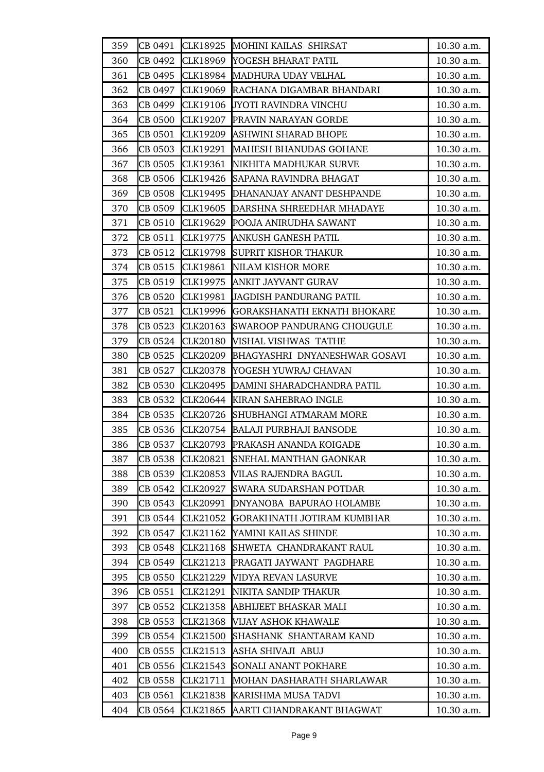| 359 | CB 0491 | CLK18925        | MOHINI KAILAS SHIRSAT                 | 10.30 a.m. |
|-----|---------|-----------------|---------------------------------------|------------|
| 360 | CB 0492 | CLK18969        | YOGESH BHARAT PATIL                   | 10.30 a.m. |
| 361 | CB 0495 |                 | CLK18984 MADHURA UDAY VELHAL          | 10.30 a.m. |
| 362 | CB 0497 | CLK19069        | RACHANA DIGAMBAR BHANDARI             | 10.30 a.m. |
| 363 | CB 0499 | CLK19106        | <b>JYOTI RAVINDRA VINCHU</b>          | 10.30 a.m. |
| 364 | CB 0500 | CLK19207        | <b>PRAVIN NARAYAN GORDE</b>           | 10.30 a.m. |
| 365 | CB 0501 |                 | CLK19209 ASHWINI SHARAD BHOPE         | 10.30 a.m. |
| 366 | CB 0503 |                 | CLK19291 MAHESH BHANUDAS GOHANE       | 10.30 a.m. |
| 367 | CB 0505 | CLK19361        | NIKHITA MADHUKAR SURVE                | 10.30 a.m. |
| 368 | CB 0506 |                 | CLK19426 SAPANA RAVINDRA BHAGAT       | 10.30 a.m. |
| 369 | CB 0508 | CLK19495        | DHANANJAY ANANT DESHPANDE             | 10.30 a.m. |
| 370 | CB 0509 | CLK19605        | DARSHNA SHREEDHAR MHADAYE             | 10.30 a.m. |
| 371 | CB 0510 | CLK19629        | POOJA ANIRUDHA SAWANT                 | 10.30 a.m. |
| 372 | CB 0511 | CLK19775        | <b>ANKUSH GANESH PATIL</b>            | 10.30 a.m. |
| 373 | CB 0512 |                 | CLK19798 SUPRIT KISHOR THAKUR         | 10.30 a.m. |
| 374 | CB 0515 | CLK19861        | NILAM KISHOR MORE                     | 10.30 a.m. |
| 375 | CB 0519 | CLK19975        | ANKIT JAYVANT GURAV                   | 10.30 a.m. |
| 376 | CB 0520 | CLK19981        | <b>JAGDISH PANDURANG PATIL</b>        | 10.30 a.m. |
| 377 | CB 0521 |                 | CLK19996  GORAKSHANATH EKNATH BHOKARE | 10.30 a.m. |
| 378 | CB 0523 | CLK20163        | SWAROOP PANDURANG CHOUGULE            | 10.30 a.m. |
| 379 | CB 0524 | <b>CLK20180</b> | VISHAL VISHWAS TATHE                  | 10.30 a.m. |
| 380 | CB 0525 | CLK20209        | <b>BHAGYASHRI DNYANESHWAR GOSAVI</b>  | 10.30 a.m. |
| 381 | CB 0527 | CLK20378        | YOGESH YUWRAJ CHAVAN                  | 10.30 a.m. |
| 382 | CB 0530 | CLK20495        | DAMINI SHARADCHANDRA PATIL            | 10.30 a.m. |
| 383 | CB 0532 | CLK20644        | KIRAN SAHEBRAO INGLE                  | 10.30 a.m. |
| 384 | CB 0535 | CLK20726        | <b>SHUBHANGI ATMARAM MORE</b>         | 10.30 a.m. |
| 385 | CB 0536 |                 | CLK20754 BALAJI PURBHAJI BANSODE      | 10.30 a.m. |
| 386 | CB 0537 |                 | CLK20793 PRAKASH ANANDA KOIGADE       | 10.30 a.m. |
| 387 | CB 0538 | CLK20821        | <b>SNEHAL MANTHAN GAONKAR</b>         | 10.30 a.m. |
| 388 | CB 0539 | CLK20853        | VILAS RAJENDRA BAGUL                  | 10.30 a.m. |
| 389 | CB 0542 | CLK20927        | <b>SWARA SUDARSHAN POTDAR</b>         | 10.30 a.m. |
| 390 | CB 0543 | CLK20991        | DNYANOBA BAPURAO HOLAMBE              | 10.30 a.m. |
| 391 | CB 0544 |                 | CLK21052 GORAKHNATH JOTIRAM KUMBHAR   | 10.30 a.m. |
| 392 | CB 0547 | CLK21162        | YAMINI KAILAS SHINDE                  | 10.30 a.m. |
| 393 | CB 0548 | CLK21168        | SHWETA CHANDRAKANT RAUL               | 10.30 a.m. |
| 394 | CB 0549 | CLK21213        | PRAGATI JAYWANT PAGDHARE              | 10.30 a.m. |
| 395 | CB 0550 | CLK21229        | VIDYA REVAN LASURVE                   | 10.30 a.m. |
| 396 | CB 0551 | CLK21291        | NIKITA SANDIP THAKUR                  | 10.30 a.m. |
| 397 | CB 0552 | CLK21358        | ABHIJEET BHASKAR MALI                 | 10.30 a.m. |
| 398 | CB 0553 | CLK21368        | VIJAY ASHOK KHAWALE                   | 10.30 a.m. |
| 399 | CB 0554 | CLK21500        | SHASHANK SHANTARAM KAND               | 10.30 a.m. |
| 400 | CB 0555 | CLK21513        | ASHA SHIVAJI ABUJ                     | 10.30 a.m. |
| 401 | CB 0556 | CLK21543        | SONALI ANANT POKHARE                  | 10.30 a.m. |
| 402 | CB 0558 | CLK21711        | MOHAN DASHARATH SHARLAWAR             | 10.30 a.m. |
| 403 | CB 0561 | CLK21838        | KARISHMA MUSA TADVI                   | 10.30 a.m. |
| 404 | CB 0564 | CLK21865        | AARTI CHANDRAKANT BHAGWAT             | 10.30 a.m. |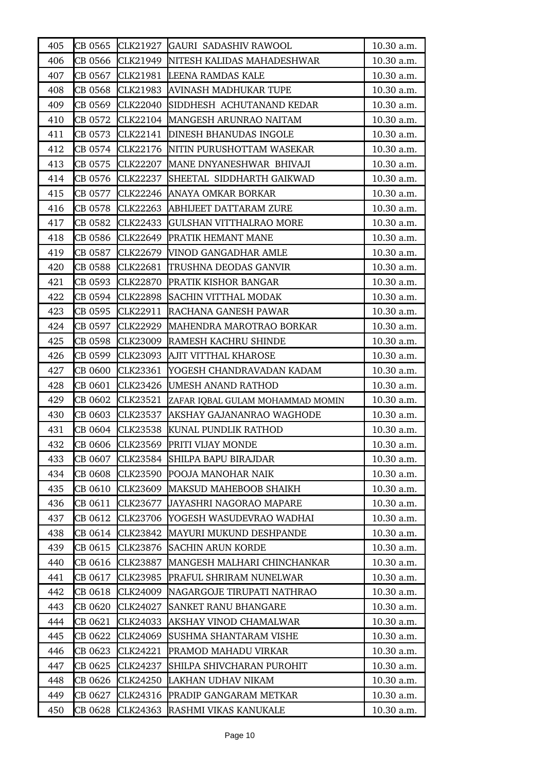| 405 | CB 0565 |                 | CLK21927 GAURI SADASHIV RAWOOL       | 10.30 a.m.   |
|-----|---------|-----------------|--------------------------------------|--------------|
| 406 | CB 0566 |                 | CLK21949  NITESH KALIDAS MAHADESHWAR | 10.30 a.m.   |
| 407 | CB 0567 | CLK21981        | LEENA RAMDAS KALE                    | 10.30 a.m.   |
| 408 | CB 0568 |                 | CLK21983 AVINASH MADHUKAR TUPE       | 10.30 a.m.   |
| 409 | CB 0569 |                 | CLK22040 SIDDHESH ACHUTANAND KEDAR   | 10.30 a.m.   |
| 410 | CB 0572 |                 | CLK22104 MANGESH ARUNRAO NAITAM      | 10.30 a.m.   |
| 411 | CB 0573 | CLK22141        | <b>DINESH BHANUDAS INGOLE</b>        | 10.30 a.m.   |
| 412 | CB 0574 |                 | CLK22176 NITIN PURUSHOTTAM WASEKAR   | 10.30 a.m.   |
| 413 | CB 0575 | CLK22207        | MANE DNYANESHWAR BHIVAJI             | 10.30 a.m.   |
| 414 | CB 0576 | CLK22237        | SHEETAL SIDDHARTH GAIKWAD            | 10.30 a.m.   |
| 415 | CB 0577 | CLK22246        | ANAYA OMKAR BORKAR                   | 10.30 a.m.   |
| 416 | CB 0578 | CLK22263        | <b>ABHIJEET DATTARAM ZURE</b>        | 10.30 a.m.   |
| 417 | CB 0582 | CLK22433        | <b>GULSHAN VITTHALRAO MORE</b>       | 10.30 a.m.   |
| 418 | CB 0586 |                 | CLK22649 PRATIK HEMANT MANE          | 10.30 a.m.   |
| 419 | CB 0587 | CLK22679        | VINOD GANGADHAR AMLE                 | 10.30 a.m.   |
| 420 | CB 0588 | CLK22681        | TRUSHNA DEODAS GANVIR                | 10.30 a.m.   |
| 421 | CB 0593 | CLK22870        | <b>PRATIK KISHOR BANGAR</b>          | 10.30 a.m.   |
| 422 | CB 0594 | <b>CLK22898</b> | <b>SACHIN VITTHAL MODAK</b>          | $10.30$ a.m. |
| 423 | CB 0595 | CLK22911        | RACHANA GANESH PAWAR                 | 10.30 a.m.   |
| 424 | CB 0597 | CLK22929        | MAHENDRA MAROTRAO BORKAR             | 10.30 a.m.   |
| 425 | CB 0598 |                 | CLK23009 RAMESH KACHRU SHINDE        | $10.30$ a.m. |
| 426 | CB 0599 |                 | CLK23093 AJIT VITTHAL KHAROSE        | 10.30 a.m.   |
| 427 | CB 0600 | CLK23361        | YOGESH CHANDRAVADAN KADAM            | 10.30 a.m.   |
| 428 | CB 0601 | CLK23426        | UMESH ANAND RATHOD                   | 10.30 a.m.   |
| 429 | CB 0602 | CLK23521        | ZAFAR IQBAL GULAM MOHAMMAD MOMIN     | 10.30 a.m.   |
| 430 | CB 0603 | CLK23537        | <b>AKSHAY GAJANANRAO WAGHODE</b>     | 10.30 a.m.   |
| 431 | CB 0604 | <b>CLK23538</b> | KUNAL PUNDLIK RATHOD                 | 10.30 a.m.   |
| 432 | CB 0606 | CLK23569        | <b>PRITI VIJAY MONDE</b>             | 10.30 a.m.   |
| 433 | CB 0607 | CLK23584        | SHILPA BAPU BIRAJDAR                 | 10.30 a.m.   |
| 434 | CB 0608 |                 | <b>CLK23590 POOJA MANOHAR NAIK</b>   | 10.30 a.m.   |
| 435 | CB 0610 | CLK23609        | MAKSUD MAHEBOOB SHAIKH               | 10.30 a.m.   |
| 436 | CB 0611 | CLK23677        | JAYASHRI NAGORAO MAPARE              | 10.30 a.m.   |
| 437 | CB 0612 | CLK23706        | YOGESH WASUDEVRAO WADHAI             | 10.30 a.m.   |
| 438 | CB 0614 | CLK23842        | MAYURI MUKUND DESHPANDE              | 10.30 a.m.   |
| 439 | CB 0615 | CLK23876        | <b>SACHIN ARUN KORDE</b>             | 10.30 a.m.   |
| 440 | CB 0616 | CLK23887        | MANGESH MALHARI CHINCHANKAR          | 10.30 a.m.   |
| 441 | CB 0617 | CLK23985        | PRAFUL SHRIRAM NUNELWAR              | 10.30 a.m.   |
| 442 | CB 0618 | CLK24009        | NAGARGOJE TIRUPATI NATHRAO           | 10.30 a.m.   |
| 443 | CB 0620 | CLK24027        | SANKET RANU BHANGARE                 | 10.30 a.m.   |
| 444 | CB 0621 | CLK24033        | AKSHAY VINOD CHAMALWAR               | 10.30 a.m.   |
| 445 | CB 0622 | CLK24069        | SUSHMA SHANTARAM VISHE               | 10.30 a.m.   |
| 446 | CB 0623 | CLK24221        | PRAMOD MAHADU VIRKAR                 | 10.30 a.m.   |
| 447 | CB 0625 | CLK24237        | SHILPA SHIVCHARAN PUROHIT            | 10.30 a.m.   |
| 448 | CB 0626 | CLK24250        | LAKHAN UDHAV NIKAM                   | 10.30 a.m.   |
| 449 | CB 0627 | CLK24316        | PRADIP GANGARAM METKAR               | 10.30 a.m.   |
| 450 | CB 0628 | CLK24363        | RASHMI VIKAS KANUKALE                | 10.30 a.m.   |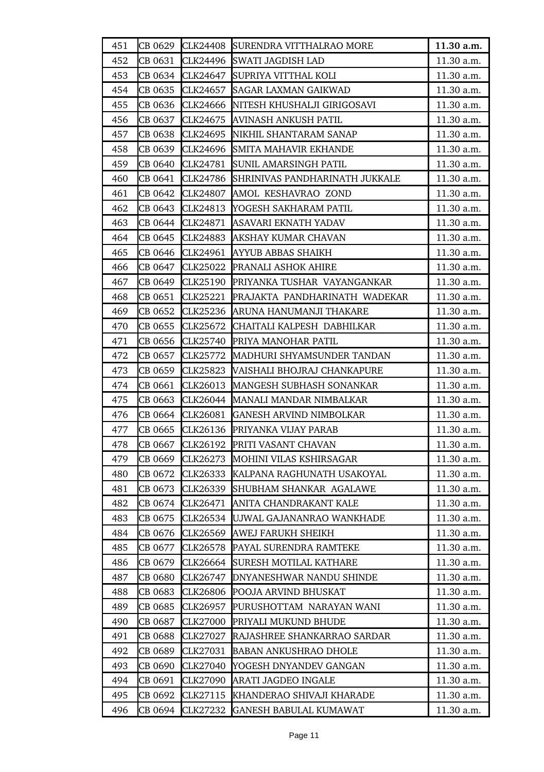| 451 | CB 0629 | <b>CLK24408</b> | SURENDRA VITTHALRAO MORE       | 11.30 a.m. |
|-----|---------|-----------------|--------------------------------|------------|
| 452 | CB 0631 | CLK24496        | <b>SWATI JAGDISH LAD</b>       | 11.30 a.m. |
| 453 | CB 0634 | CLK24647        | SUPRIYA VITTHAL KOLI           | 11.30 a.m. |
| 454 | CB 0635 | CLK24657        | <b>SAGAR LAXMAN GAIKWAD</b>    | 11.30 a.m. |
| 455 | CB 0636 | CLK24666        | NITESH KHUSHALJI GIRIGOSAVI    | 11.30 a.m. |
| 456 | CB 0637 | CLK24675        | AVINASH ANKUSH PATIL           | 11.30 a.m. |
| 457 | CB 0638 | CLK24695        | NIKHIL SHANTARAM SANAP         | 11.30 a.m. |
| 458 | CB 0639 | CLK24696        | SMITA MAHAVIR EKHANDE          | 11.30 a.m. |
| 459 | CB 0640 | CLK24781        | SUNIL AMARSINGH PATIL          | 11.30 a.m. |
| 460 | CB 0641 | CLK24786        | SHRINIVAS PANDHARINATH JUKKALE | 11.30 a.m. |
| 461 | CB 0642 | CLK24807        | AMOL KESHAVRAO ZOND            | 11.30 a.m. |
| 462 | CB 0643 | CLK24813        | YOGESH SAKHARAM PATIL          | 11.30 a.m. |
| 463 | CB 0644 | CLK24871        | ASAVARI EKNATH YADAV           | 11.30 a.m. |
| 464 | CB 0645 | <b>CLK24883</b> | AKSHAY KUMAR CHAVAN            | 11.30 a.m. |
| 465 | CB 0646 | CLK24961        | AYYUB ABBAS SHAIKH             | 11.30 a.m. |
| 466 | CB 0647 | CLK25022        | PRANALI ASHOK AHIRE            | 11.30 a.m. |
| 467 | CB 0649 | CLK25190        | PRIYANKA TUSHAR VAYANGANKAR    | 11.30 a.m. |
| 468 | CB 0651 | CLK25221        | PRAJAKTA PANDHARINATH WADEKAR  | 11.30 a.m. |
| 469 | CB 0652 | CLK25236        | ARUNA HANUMANJI THAKARE        | 11.30 a.m. |
| 470 | CB 0655 | CLK25672        | CHAITALI KALPESH DABHILKAR     | 11.30 a.m. |
| 471 | CB 0656 | CLK25740        | PRIYA MANOHAR PATIL            | 11.30 a.m. |
| 472 | CB 0657 | CLK25772        | MADHURI SHYAMSUNDER TANDAN     | 11.30 a.m. |
| 473 | CB 0659 | CLK25823        | VAISHALI BHOJRAJ CHANKAPURE    | 11.30 a.m. |
| 474 | CB 0661 | CLK26013        | MANGESH SUBHASH SONANKAR       | 11.30 a.m. |
| 475 | CB 0663 | CLK26044        | <b>MANALI MANDAR NIMBALKAR</b> | 11.30 a.m. |
| 476 | CB 0664 | CLK26081        | <b>GANESH ARVIND NIMBOLKAR</b> | 11.30 a.m. |
| 477 | CB 0665 | CLK26136        | PRIYANKA VIJAY PARAB           | 11.30 a.m. |
| 478 | CB 0667 | CLK26192        | PRITI VASANT CHAVAN            | 11.30 a.m. |
| 479 | CB 0669 | CLK26273        | MOHINI VILAS KSHIRSAGAR        | 11.30 a.m. |
| 480 | CB 0672 | CLK26333        | KALPANA RAGHUNATH USAKOYAL     | 11.30 a.m. |
| 481 | CB 0673 | CLK26339        | SHUBHAM SHANKAR AGALAWE        | 11.30 a.m. |
| 482 | CB 0674 | CLK26471        | ANITA CHANDRAKANT KALE         | 11.30 a.m. |
| 483 | CB 0675 | CLK26534        | UJWAL GAJANANRAO WANKHADE      | 11.30 a.m. |
| 484 | CB 0676 | CLK26569        | <b>AWEJ FARUKH SHEIKH</b>      | 11.30 a.m. |
| 485 | CB 0677 | <b>CLK26578</b> | PAYAL SURENDRA RAMTEKE         | 11.30 a.m. |
| 486 | CB 0679 | CLK26664        | SURESH MOTILAL KATHARE         | 11.30 a.m. |
| 487 | CB 0680 | CLK26747        | DNYANESHWAR NANDU SHINDE       | 11.30 a.m. |
| 488 | CB 0683 | <b>CLK26806</b> | POOJA ARVIND BHUSKAT           | 11.30 a.m. |
| 489 | CB 0685 | CLK26957        | PURUSHOTTAM NARAYAN WANI       | 11.30 a.m. |
| 490 | CB 0687 | <b>CLK27000</b> | PRIYALI MUKUND BHUDE           | 11.30 a.m. |
| 491 | CB 0688 | CLK27027        | RAJASHREE SHANKARRAO SARDAR    | 11.30 a.m. |
| 492 | CB 0689 | CLK27031        | <b>BABAN ANKUSHRAO DHOLE</b>   | 11.30 a.m. |
| 493 | CB 0690 | <b>CLK27040</b> | YOGESH DNYANDEV GANGAN         | 11.30 a.m. |
| 494 | CB 0691 | CLK27090        | ARATI JAGDEO INGALE            | 11.30 a.m. |
| 495 | CB 0692 | CLK27115        | KHANDERAO SHIVAJI KHARADE      | 11.30 a.m. |
| 496 | CB 0694 | CLK27232        | <b>GANESH BABULAL KUMAWAT</b>  | 11.30 a.m. |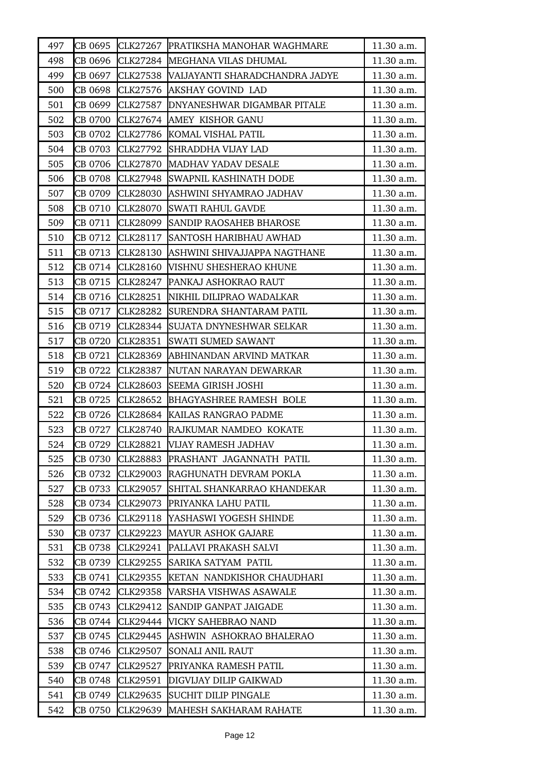| 497 | CB 0695 |                 | CLK27267 PRATIKSHA MANOHAR WAGHMARE | 11.30 a.m. |
|-----|---------|-----------------|-------------------------------------|------------|
| 498 | CB 0696 |                 | CLK27284 MEGHANA VILAS DHUMAL       | 11.30 a.m. |
| 499 | CB 0697 | CLK27538        | VAIJAYANTI SHARADCHANDRA JADYE      | 11.30 a.m. |
| 500 | CB 0698 | CLK27576        | AKSHAY GOVIND LAD                   | 11.30 a.m. |
| 501 | CB 0699 | CLK27587        | DNYANESHWAR DIGAMBAR PITALE         | 11.30 a.m. |
| 502 | CB 0700 |                 | CLK27674 AMEY KISHOR GANU           | 11.30 a.m. |
| 503 | CB 0702 | CLK27786        | KOMAL VISHAL PATIL                  | 11.30 a.m. |
| 504 | CB 0703 | CLK27792        | SHRADDHA VIJAY LAD                  | 11.30 a.m. |
| 505 | CB 0706 | CLK27870        | MADHAV YADAV DESALE                 | 11.30 a.m. |
| 506 | CB 0708 | CLK27948        | SWAPNIL KASHINATH DODE              | 11.30 a.m. |
| 507 | CB 0709 | <b>CLK28030</b> | ASHWINI SHYAMRAO JADHAV             | 11.30 a.m. |
| 508 | CB 0710 | CLK28070        | SWATI RAHUL GAVDE                   | 11.30 a.m. |
| 509 | CB 0711 | CLK28099        | <b>SANDIP RAOSAHEB BHAROSE</b>      | 11.30 a.m. |
| 510 | CB 0712 | CLK28117        | <b>SANTOSH HARIBHAU AWHAD</b>       | 11.30 a.m. |
| 511 | CB 0713 | CLK28130        | ASHWINI SHIVAJJAPPA NAGTHANE        | 11.30 a.m. |
| 512 | CB 0714 | CLK28160        | WISHNU SHESHERAO KHUNE              | 11.30 a.m. |
| 513 | CB 0715 | CLK28247        | PANKAJ ASHOKRAO RAUT                | 11.30 a.m. |
| 514 | CB 0716 | CLK28251        | NIKHIL DILIPRAO WADALKAR            | 11.30 a.m. |
| 515 | CB 0717 | CLK28282        | SURENDRA SHANTARAM PATIL            | 11.30 a.m. |
| 516 | CB 0719 | CLK28344        | SUJATA DNYNESHWAR SELKAR            | 11.30 a.m. |
| 517 | CB 0720 | CLK28351        | <b>SWATI SUMED SAWANT</b>           | 11.30 a.m. |
| 518 | CB 0721 | CLK28369        | ABHINANDAN ARVIND MATKAR            | 11.30 a.m. |
| 519 | CB 0722 | CLK28387        | NUTAN NARAYAN DEWARKAR              | 11.30 a.m. |
| 520 | CB 0724 | CLK28603        | SEEMA GIRISH JOSHI                  | 11.30 a.m. |
| 521 | CB 0725 | CLK28652        | <b>BHAGYASHREE RAMESH BOLE</b>      | 11.30 a.m. |
| 522 | CB 0726 |                 | CLK28684 KAILAS RANGRAO PADME       | 11.30 a.m. |
| 523 | CB 0727 |                 | CLK28740 RAJKUMAR NAMDEO KOKATE     | 11.30 a.m. |
| 524 | CB 0729 | CLK28821        | VIJAY RAMESH JADHAV                 | 11.30 a.m. |
| 525 | CB 0730 | CLK28883        | PRASHANT JAGANNATH PATIL            | 11.30 a.m. |
| 526 | CB 0732 | CLK29003        | RAGHUNATH DEVRAM POKLA              | 11.30 a.m. |
| 527 | CB 0733 | CLK29057        | SHITAL SHANKARRAO KHANDEKAR         | 11.30 a.m. |
| 528 | CB 0734 | CLK29073        | PRIYANKA LAHU PATIL                 | 11.30 a.m. |
| 529 | CB 0736 | CLK29118        | YASHASWI YOGESH SHINDE              | 11.30 a.m. |
| 530 | CB 0737 | CLK29223        | <b>MAYUR ASHOK GAJARE</b>           | 11.30 a.m. |
| 531 | CB 0738 | CLK29241        | PALLAVI PRAKASH SALVI               | 11.30 a.m. |
| 532 | CB 0739 | CLK29255        | SARIKA SATYAM PATIL                 | 11.30 a.m. |
| 533 | CB 0741 | CLK29355        | KETAN NANDKISHOR CHAUDHARI          | 11.30 a.m. |
| 534 | CB 0742 | CLK29358        | VARSHA VISHWAS ASAWALE              | 11.30 a.m. |
| 535 | CB 0743 | CLK29412        | SANDIP GANPAT JAIGADE               | 11.30 a.m. |
| 536 | CB 0744 | CLK29444        | VICKY SAHEBRAO NAND                 | 11.30 a.m. |
| 537 | CB 0745 |                 | CLK29445 ASHWIN ASHOKRAO BHALERAO   | 11.30 a.m. |
| 538 | CB 0746 | CLK29507        | SONALI ANIL RAUT                    | 11.30 a.m. |
| 539 | CB 0747 | CLK29527        | PRIYANKA RAMESH PATIL               | 11.30 a.m. |
| 540 | CB 0748 | CLK29591        | DIGVIJAY DILIP GAIKWAD              | 11.30 a.m. |
| 541 | CB 0749 | CLK29635        | SUCHIT DILIP PINGALE                | 11.30 a.m. |
| 542 | CB 0750 | CLK29639        | MAHESH SAKHARAM RAHATE              | 11.30 a.m. |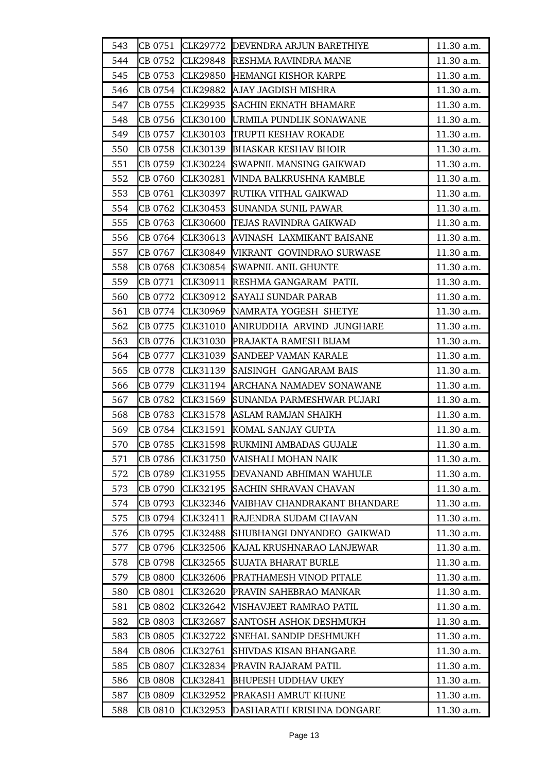| 543 | CB 0751 |                 | CLK29772 DEVENDRA ARJUN BARETHIYE | 11.30 a.m. |
|-----|---------|-----------------|-----------------------------------|------------|
| 544 | CB 0752 | CLK29848        | <b>RESHMA RAVINDRA MANE</b>       | 11.30 a.m. |
| 545 | CB 0753 | CLK29850        | HEMANGI KISHOR KARPE              | 11.30 a.m. |
| 546 | CB 0754 | CLK29882        | AJAY JAGDISH MISHRA               | 11.30 a.m. |
| 547 | CB 0755 | CLK29935        | <b>SACHIN EKNATH BHAMARE</b>      | 11.30 a.m. |
| 548 | CB 0756 | CLK30100        | URMILA PUNDLIK SONAWANE           | 11.30 a.m. |
| 549 | CB 0757 | CLK30103        | TRUPTI KESHAV ROKADE              | 11.30 a.m. |
| 550 | CB 0758 | CLK30139        | <b>BHASKAR KESHAV BHOIR</b>       | 11.30 a.m. |
| 551 | CB 0759 | CLK30224        | <b>SWAPNIL MANSING GAIKWAD</b>    | 11.30 a.m. |
| 552 | CB 0760 | CLK30281        | VINDA BALKRUSHNA KAMBLE           | 11.30 a.m. |
| 553 | CB 0761 | CLK30397        | RUTIKA VITHAL GAIKWAD             | 11.30 a.m. |
| 554 | CB 0762 | CLK30453        | <b>SUNANDA SUNIL PAWAR</b>        | 11.30 a.m. |
| 555 | CB 0763 | <b>CLK30600</b> | <b>TEJAS RAVINDRA GAIKWAD</b>     | 11.30 a.m. |
| 556 | CB 0764 | CLK30613        | AVINASH LAXMIKANT BAISANE         | 11.30 a.m. |
| 557 | CB 0767 | CLK30849        | VIKRANT GOVINDRAO SURWASE         | 11.30 a.m. |
| 558 | CB 0768 | CLK30854        | <b>SWAPNIL ANIL GHUNTE</b>        | 11.30 a.m. |
| 559 | CB 0771 | CLK30911        | RESHMA GANGARAM PATIL             | 11.30 a.m. |
| 560 | CB 0772 | CLK30912        | <b>SAYALI SUNDAR PARAB</b>        | 11.30 a.m. |
| 561 | CB 0774 |                 | CLK30969 NAMRATA YOGESH SHETYE    | 11.30 a.m. |
| 562 | CB 0775 | CLK31010        | ANIRUDDHA ARVIND JUNGHARE         | 11.30 a.m. |
| 563 | CB 0776 | CLK31030        | PRAJAKTA RAMESH BIJAM             | 11.30 a.m. |
| 564 | CB 0777 | CLK31039        | <b>SANDEEP VAMAN KARALE</b>       | 11.30 a.m. |
| 565 | CB 0778 | CLK31139        | SAISINGH GANGARAM BAIS            | 11.30 a.m. |
| 566 | CB 0779 | CLK31194        | ARCHANA NAMADEV SONAWANE          | 11.30 a.m. |
| 567 | CB 0782 | CLK31569        | SUNANDA PARMESHWAR PUJARI         | 11.30 a.m. |
| 568 | CB 0783 | CLK31578        | ASLAM RAMJAN SHAIKH               | 11.30 a.m. |
| 569 | CB 0784 | CLK31591        | KOMAL SANJAY GUPTA                | 11.30 a.m. |
| 570 | CB 0785 |                 | CLK31598 RUKMINI AMBADAS GUJALE   | 11.30 a.m. |
| 571 | CB 0786 | CLK31750        | <b>VAISHALI MOHAN NAIK</b>        | 11.30 a.m. |
| 572 | CB 0789 |                 | CLK31955 DEVANAND ABHIMAN WAHULE  | 11.30 a.m. |
| 573 | CB 0790 |                 | CLK32195 SACHIN SHRAVAN CHAVAN    | 11.30 a.m. |
| 574 | CB 0793 | CLK32346        | VAIBHAV CHANDRAKANT BHANDARE      | 11.30 a.m. |
| 575 | CB 0794 | CLK32411        | RAJENDRA SUDAM CHAVAN             | 11.30 a.m. |
| 576 | CB 0795 | CLK32488        | SHUBHANGI DNYANDEO GAIKWAD        | 11.30 a.m. |
| 577 | CB 0796 | CLK32506        | KAJAL KRUSHNARAO LANJEWAR         | 11.30 a.m. |
| 578 | CB 0798 | CLK32565        | <b>SUJATA BHARAT BURLE</b>        | 11.30 a.m. |
| 579 | CB 0800 | CLK32606        | PRATHAMESH VINOD PITALE           | 11.30 a.m. |
| 580 | CB 0801 | CLK32620        | <b>PRAVIN SAHEBRAO MANKAR</b>     | 11.30 a.m. |
| 581 | CB 0802 | CLK32642        | VISHAVJEET RAMRAO PATIL           | 11.30 a.m. |
| 582 | CB 0803 | CLK32687        | SANTOSH ASHOK DESHMUKH            | 11.30 a.m. |
| 583 | CB 0805 | CLK32722        | SNEHAL SANDIP DESHMUKH            | 11.30 a.m. |
| 584 | CB 0806 | CLK32761        | <b>SHIVDAS KISAN BHANGARE</b>     | 11.30 a.m. |
| 585 | CB 0807 | CLK32834        | PRAVIN RAJARAM PATIL              | 11.30 a.m. |
| 586 | CB 0808 | CLK32841        | <b>BHUPESH UDDHAV UKEY</b>        | 11.30 a.m. |
| 587 | CB 0809 | CLK32952        | PRAKASH AMRUT KHUNE               | 11.30 a.m. |
| 588 | CB 0810 | CLK32953        | DASHARATH KRISHNA DONGARE         | 11.30 a.m. |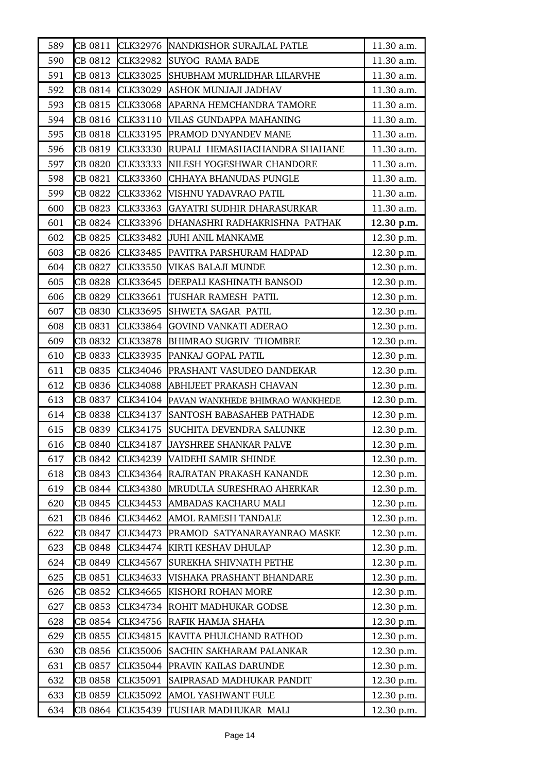| 589 | CB 0811 |                 | CLK32976 NANDKISHOR SURAJLAL PATLE | 11.30 a.m. |
|-----|---------|-----------------|------------------------------------|------------|
| 590 | CB 0812 | CLK32982        | <b>SUYOG RAMA BADE</b>             | 11.30 a.m. |
| 591 | CB 0813 | CLK33025        | SHUBHAM MURLIDHAR LILARVHE         | 11.30 a.m. |
| 592 | CB 0814 | CLK33029        | <b>ASHOK MUNJAJI JADHAV</b>        | 11.30 a.m. |
| 593 | CB 0815 | CLK33068        | APARNA HEMCHANDRA TAMORE           | 11.30 a.m. |
| 594 | CB 0816 | CLK33110        | VILAS GUNDAPPA MAHANING            | 11.30 a.m. |
| 595 | CB 0818 | CLK33195        | <b>PRAMOD DNYANDEV MANE</b>        | 11.30 a.m. |
| 596 | CB 0819 | CLK33330        | RUPALI HEMASHACHANDRA SHAHANE      | 11.30 a.m. |
| 597 | CB 0820 | CLK33333        | NILESH YOGESHWAR CHANDORE          | 11.30 a.m. |
| 598 | CB 0821 | CLK33360        | CHHAYA BHANUDAS PUNGLE             | 11.30 a.m. |
| 599 | CB 0822 | CLK33362        | VISHNU YADAVRAO PATIL              | 11.30 a.m. |
| 600 | CB 0823 | CLK33363        | GAYATRI SUDHIR DHARASURKAR         | 11.30 a.m. |
| 601 | CB 0824 | CLK33396        | DHANASHRI RADHAKRISHNA PATHAK      | 12.30 p.m. |
| 602 | CB 0825 | CLK33482        | <b>JUHI ANIL MANKAME</b>           | 12.30 p.m. |
| 603 | CB 0826 | CLK33485        | PAVITRA PARSHURAM HADPAD           | 12.30 p.m. |
| 604 | CB 0827 | CLK33550        | VIKAS BALAJI MUNDE                 | 12.30 p.m. |
| 605 | CB 0828 | CLK33645        | <b>DEEPALI KASHINATH BANSOD</b>    | 12.30 p.m. |
| 606 | CB 0829 | CLK33661        | <b>TUSHAR RAMESH PATIL</b>         | 12.30 p.m. |
| 607 | CB 0830 | CLK33695        | <b>SHWETA SAGAR PATIL</b>          | 12.30 p.m. |
| 608 | CB 0831 | CLK33864        | <b>GOVIND VANKATI ADERAO</b>       | 12.30 p.m. |
| 609 | CB 0832 | CLK33878        | <b>BHIMRAO SUGRIV THOMBRE</b>      | 12.30 p.m. |
| 610 | CB 0833 | CLK33935        | PANKAJ GOPAL PATIL                 | 12.30 p.m. |
| 611 | CB 0835 | CLK34046        | <b>PRASHANT VASUDEO DANDEKAR</b>   | 12.30 p.m. |
| 612 | CB 0836 | <b>CLK34088</b> | ABHIJEET PRAKASH CHAVAN            | 12.30 p.m. |
| 613 | CB 0837 | CLK34104        | PAVAN WANKHEDE BHIMRAO WANKHEDE    | 12.30 p.m. |
| 614 | CB 0838 | CLK34137        | SANTOSH BABASAHEB PATHADE          | 12.30 p.m. |
| 615 | CB 0839 | CLK34175        | SUCHITA DEVENDRA SALUNKE           | 12.30 p.m. |
| 616 | CB 0840 | CLK34187        | <b>JAYSHREE SHANKAR PALVE</b>      | 12.30 p.m. |
| 617 | CB 0842 | CLK34239        | VAIDEHI SAMIR SHINDE               | 12.30 p.m. |
| 618 | CB 0843 | CLK34364        | RAJRATAN PRAKASH KANANDE           | 12.30 p.m. |
| 619 | CB 0844 | CLK34380        | MRUDULA SURESHRAO AHERKAR          | 12.30 p.m. |
| 620 | CB 0845 | CLK34453        | AMBADAS KACHARU MALI               | 12.30 p.m. |
| 621 | CB 0846 | CLK34462        | AMOL RAMESH TANDALE                | 12.30 p.m. |
| 622 | CB 0847 | CLK34473        | PRAMOD SATYANARAYANRAO MASKE       | 12.30 p.m. |
| 623 | CB 0848 | CLK34474        | KIRTI KESHAV DHULAP                | 12.30 p.m. |
| 624 | CB 0849 | CLK34567        | SUREKHA SHIVNATH PETHE             | 12.30 p.m. |
| 625 | CB 0851 | CLK34633        | VISHAKA PRASHANT BHANDARE          | 12.30 p.m. |
| 626 | CB 0852 | CLK34665        | KISHORI ROHAN MORE                 | 12.30 p.m. |
| 627 | CB 0853 | CLK34734        | ROHIT MADHUKAR GODSE               | 12.30 p.m. |
| 628 | CB 0854 | CLK34756        | RAFIK HAMJA SHAHA                  | 12.30 p.m. |
| 629 | CB 0855 | CLK34815        | KAVITA PHULCHAND RATHOD            | 12.30 p.m. |
| 630 | CB 0856 | <b>CLK35006</b> | SACHIN SAKHARAM PALANKAR           | 12.30 p.m. |
| 631 | CB 0857 | CLK35044        | <b>PRAVIN KAILAS DARUNDE</b>       | 12.30 p.m. |
| 632 | CB 0858 | CLK35091        | SAIPRASAD MADHUKAR PANDIT          | 12.30 p.m. |
| 633 | CB 0859 | CLK35092        | AMOL YASHWANT FULE                 | 12.30 p.m. |
| 634 | CB 0864 | CLK35439        | TUSHAR MADHUKAR MALI               | 12.30 p.m. |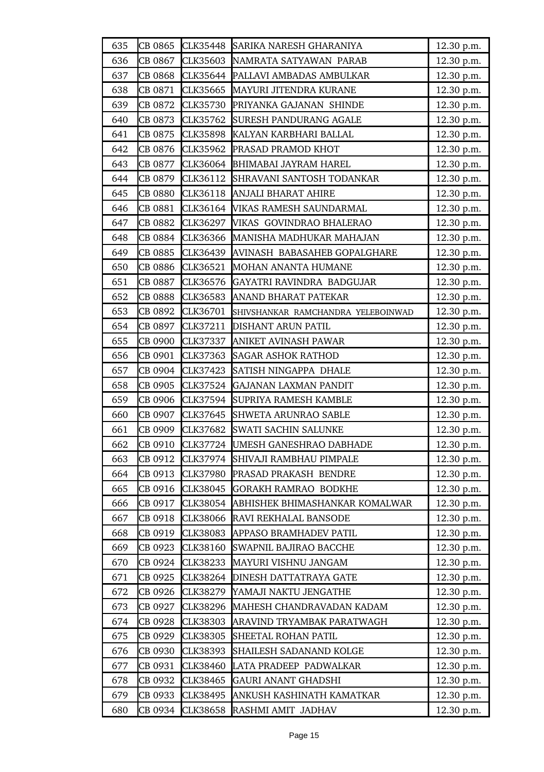| 635 | CB 0865        | CLK35448        | SARIKA NARESH GHARANIYA            | 12.30 p.m. |
|-----|----------------|-----------------|------------------------------------|------------|
| 636 | CB 0867        | CLK35603        | NAMRATA SATYAWAN PARAB             | 12.30 p.m. |
| 637 | CB 0868        | CLK35644        | PALLAVI AMBADAS AMBULKAR           | 12.30 p.m. |
| 638 | CB 0871        | CLK35665        | <b>MAYURI JITENDRA KURANE</b>      | 12.30 p.m. |
| 639 | CB 0872        | <b>CLK35730</b> | PRIYANKA GAJANAN SHINDE            | 12.30 p.m. |
| 640 | CB 0873        | CLK35762        | <b>SURESH PANDURANG AGALE</b>      | 12.30 p.m. |
| 641 | CB 0875        | CLK35898        | KALYAN KARBHARI BALLAL             | 12.30 p.m. |
| 642 | CB 0876        | CLK35962        | PRASAD PRAMOD KHOT                 | 12.30 p.m. |
| 643 | CB 0877        | CLK36064        | <b>BHIMABAI JAYRAM HAREL</b>       | 12.30 p.m. |
| 644 | CB 0879        | CLK36112        | SHRAVANI SANTOSH TODANKAR          | 12.30 p.m. |
| 645 | <b>CB 0880</b> | CLK36118        | <b>ANJALI BHARAT AHIRE</b>         | 12.30 p.m. |
| 646 | CB 0881        | CLK36164        | VIKAS RAMESH SAUNDARMAL            | 12.30 p.m. |
| 647 | CB 0882        | CLK36297        | VIKAS GOVINDRAO BHALERAO           | 12.30 p.m. |
| 648 | CB 0884        | CLK36366        | MANISHA MADHUKAR MAHAJAN           | 12.30 p.m. |
| 649 | CB 0885        | CLK36439        | AVINASH BABASAHEB GOPALGHARE       | 12.30 p.m. |
| 650 | CB 0886        | CLK36521        | MOHAN ANANTA HUMANE                | 12.30 p.m. |
| 651 | CB 0887        | CLK36576        | GAYATRI RAVINDRA BADGUJAR          | 12.30 p.m. |
| 652 | <b>CB 0888</b> | CLK36583        | ANAND BHARAT PATEKAR               | 12.30 p.m. |
| 653 | CB 0892        | CLK36701        | SHIVSHANKAR RAMCHANDRA YELEBOINWAD | 12.30 p.m. |
| 654 | CB 0897        | CLK37211        | DISHANT ARUN PATIL                 | 12.30 p.m. |
| 655 | CB 0900        | CLK37337        | ANIKET AVINASH PAWAR               | 12.30 p.m. |
| 656 | CB 0901        | CLK37363        | <b>SAGAR ASHOK RATHOD</b>          | 12.30 p.m. |
| 657 | CB 0904        | CLK37423        | SATISH NINGAPPA DHALE              | 12.30 p.m. |
| 658 | CB 0905        | CLK37524        | <b>GAJANAN LAXMAN PANDIT</b>       | 12.30 p.m. |
| 659 | CB 0906        | <b>CLK37594</b> | SUPRIYA RAMESH KAMBLE              | 12.30 p.m. |
| 660 | CB 0907        | CLK37645        | <b>SHWETA ARUNRAO SABLE</b>        | 12.30 p.m. |
| 661 | CB 0909        | CLK37682        | <b>SWATI SACHIN SALUNKE</b>        | 12.30 p.m. |
| 662 | CB 0910        | CLK37724        | <b>UMESH GANESHRAO DABHADE</b>     | 12.30 p.m. |
| 663 | CB 0912        | CLK37974        | SHIVAJI RAMBHAU PIMPALE            | 12.30 p.m. |
| 664 | CB 0913        | <b>CLK37980</b> | PRASAD PRAKASH BENDRE              | 12.30 p.m. |
| 665 | CB 0916        | CLK38045        | <b>GORAKH RAMRAO BODKHE</b>        | 12.30 p.m. |
| 666 | CB 0917        | CLK38054        | ABHISHEK BHIMASHANKAR KOMALWAR     | 12.30 p.m. |
| 667 | CB 0918        | <b>CLK38066</b> | RAVI REKHALAL BANSODE              | 12.30 p.m. |
| 668 | CB 0919        | <b>CLK38083</b> | <b>APPASO BRAMHADEV PATIL</b>      | 12.30 p.m. |
| 669 | CB 0923        | CLK38160        | <b>SWAPNIL BAJIRAO BACCHE</b>      | 12.30 p.m. |
| 670 | CB 0924        | <b>CLK38233</b> | MAYURI VISHNU JANGAM               | 12.30 p.m. |
| 671 | CB 0925        | CLK38264        | DINESH DATTATRAYA GATE             | 12.30 p.m. |
| 672 | CB 0926        | CLK38279        | YAMAJI NAKTU JENGATHE              | 12.30 p.m. |
| 673 | CB 0927        | CLK38296        | MAHESH CHANDRAVADAN KADAM          | 12.30 p.m. |
| 674 | CB 0928        | CLK38303        | ARAVIND TRYAMBAK PARATWAGH         | 12.30 p.m. |
| 675 | CB 0929        | CLK38305        | SHEETAL ROHAN PATIL                | 12.30 p.m. |
| 676 | CB 0930        | <b>CLK38393</b> | SHAILESH SADANAND KOLGE            | 12.30 p.m. |
| 677 | CB 0931        | <b>CLK38460</b> | LATA PRADEEP PADWALKAR             | 12.30 p.m. |
| 678 | CB 0932        | CLK38465        | <b>GAURI ANANT GHADSHI</b>         | 12.30 p.m. |
| 679 | CB 0933        | CLK38495        | ANKUSH KASHINATH KAMATKAR          | 12.30 p.m. |
| 680 | CB 0934        | CLK38658        | RASHMI AMIT JADHAV                 | 12.30 p.m. |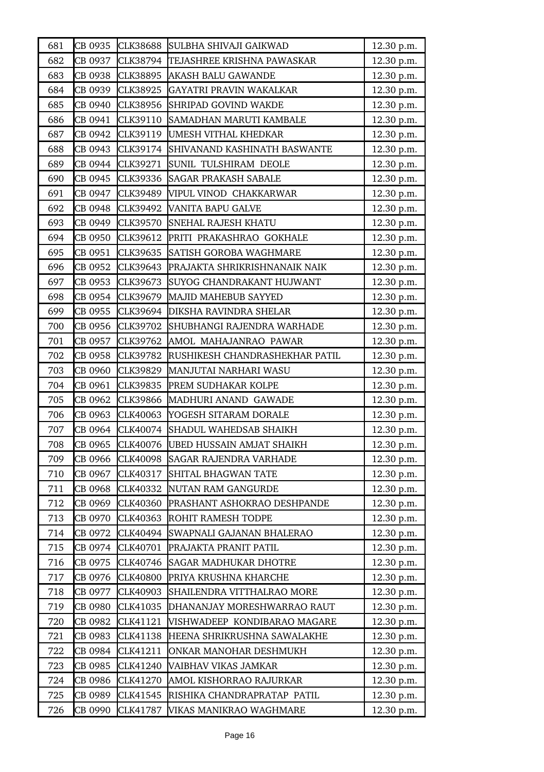| 681 | CB 0935 | <b>CLK38688</b> | SULBHA SHIVAJI GAIKWAD                | 12.30 p.m. |
|-----|---------|-----------------|---------------------------------------|------------|
| 682 | CB 0937 | CLK38794        | TEJASHREE KRISHNA PAWASKAR            | 12.30 p.m. |
| 683 | CB 0938 | CLK38895        | <b>AKASH BALU GAWANDE</b>             | 12.30 p.m. |
| 684 | CB 0939 | CLK38925        | GAYATRI PRAVIN WAKALKAR               | 12.30 p.m. |
| 685 | CB 0940 | CLK38956        | SHRIPAD GOVIND WAKDE                  | 12.30 p.m. |
| 686 | CB 0941 | CLK39110        | SAMADHAN MARUTI KAMBALE               | 12.30 p.m. |
| 687 | CB 0942 | CLK39119        | UMESH VITHAL KHEDKAR                  | 12.30 p.m. |
| 688 | CB 0943 |                 | CLK39174 SHIVANAND KASHINATH BASWANTE | 12.30 p.m. |
| 689 | CB 0944 | CLK39271        | SUNIL TULSHIRAM DEOLE                 | 12.30 p.m. |
| 690 | CB 0945 | CLK39336        | <b>SAGAR PRAKASH SABALE</b>           | 12.30 p.m. |
| 691 | CB 0947 | CLK39489        | VIPUL VINOD CHAKKARWAR                | 12.30 p.m. |
| 692 | CB 0948 | CLK39492        | <b>VANITA BAPU GALVE</b>              | 12.30 p.m. |
| 693 | CB 0949 | CLK39570        | <b>SNEHAL RAJESH KHATU</b>            | 12.30 p.m. |
| 694 | CB 0950 |                 | CLK39612 PRITI PRAKASHRAO GOKHALE     | 12.30 p.m. |
| 695 | CB 0951 | CLK39635        | SATISH GOROBA WAGHMARE                | 12.30 p.m. |
| 696 | CB 0952 | CLK39643        | PRAJAKTA SHRIKRISHNANAIK NAIK         | 12.30 p.m. |
| 697 | CB 0953 | CLK39673        | SUYOG CHANDRAKANT HUJWANT             | 12.30 p.m. |
| 698 | CB 0954 | CLK39679        | MAJID MAHEBUB SAYYED                  | 12.30 p.m. |
| 699 | CB 0955 | CLK39694        | <b>DIKSHA RAVINDRA SHELAR</b>         | 12.30 p.m. |
| 700 | CB 0956 | CLK39702        | SHUBHANGI RAJENDRA WARHADE            | 12.30 p.m. |
| 701 | CB 0957 |                 | CLK39762 AMOL MAHAJANRAO PAWAR        | 12.30 p.m. |
| 702 | CB 0958 | CLK39782        | RUSHIKESH CHANDRASHEKHAR PATIL        | 12.30 p.m. |
| 703 | CB 0960 | CLK39829        | MANJUTAI NARHARI WASU                 | 12.30 p.m. |
| 704 | CB 0961 | <b>CLK39835</b> | <b>PREM SUDHAKAR KOLPE</b>            | 12.30 p.m. |
| 705 | CB 0962 | CLK39866        | MADHURI ANAND GAWADE                  | 12.30 p.m. |
| 706 | CB 0963 |                 | CLK40063 YOGESH SITARAM DORALE        | 12.30 p.m. |
| 707 | CB 0964 |                 | CLK40074 SHADUL WAHEDSAB SHAIKH       | 12.30 p.m. |
| 708 | CB 0965 | CLK40076        | UBED HUSSAIN AMJAT SHAIKH             | 12.30 p.m. |
| 709 | CB 0966 | CLK40098        | <b>SAGAR RAJENDRA VARHADE</b>         | 12.30 p.m. |
| 710 | CB 0967 | CLK40317        | SHITAL BHAGWAN TATE                   | 12.30 p.m. |
| 711 | CB 0968 | CLK40332        | NUTAN RAM GANGURDE                    | 12.30 p.m. |
| 712 | CB 0969 | CLK40360        | PRASHANT ASHOKRAO DESHPANDE           | 12.30 p.m. |
| 713 | CB 0970 | CLK40363        | ROHIT RAMESH TODPE                    | 12.30 p.m. |
| 714 | CB 0972 | CLK40494        | SWAPNALI GAJANAN BHALERAO             | 12.30 p.m. |
| 715 | CB 0974 | CLK40701        | PRAJAKTA PRANIT PATIL                 | 12.30 p.m. |
| 716 | CB 0975 | CLK40746        | SAGAR MADHUKAR DHOTRE                 | 12.30 p.m. |
| 717 | CB 0976 | <b>CLK40800</b> | PRIYA KRUSHNA KHARCHE                 | 12.30 p.m. |
| 718 | CB 0977 | CLK40903        | SHAILENDRA VITTHALRAO MORE            | 12.30 p.m. |
| 719 | CB 0980 | CLK41035        | DHANANJAY MORESHWARRAO RAUT           | 12.30 p.m. |
| 720 | CB 0982 | CLK41121        | VISHWADEEP KONDIBARAO MAGARE          | 12.30 p.m. |
| 721 | CB 0983 | CLK41138        | HEENA SHRIKRUSHNA SAWALAKHE           | 12.30 p.m. |
| 722 | CB 0984 | CLK41211        | ONKAR MANOHAR DESHMUKH                | 12.30 p.m. |
| 723 | CB 0985 | CLK41240        | VAIBHAV VIKAS JAMKAR                  | 12.30 p.m. |
| 724 | CB 0986 | CLK41270        | AMOL KISHORRAO RAJURKAR               | 12.30 p.m. |
| 725 | CB 0989 | CLK41545        | RISHIKA CHANDRAPRATAP PATIL           | 12.30 p.m. |
| 726 | CB 0990 | CLK41787        | VIKAS MANIKRAO WAGHMARE               | 12.30 p.m. |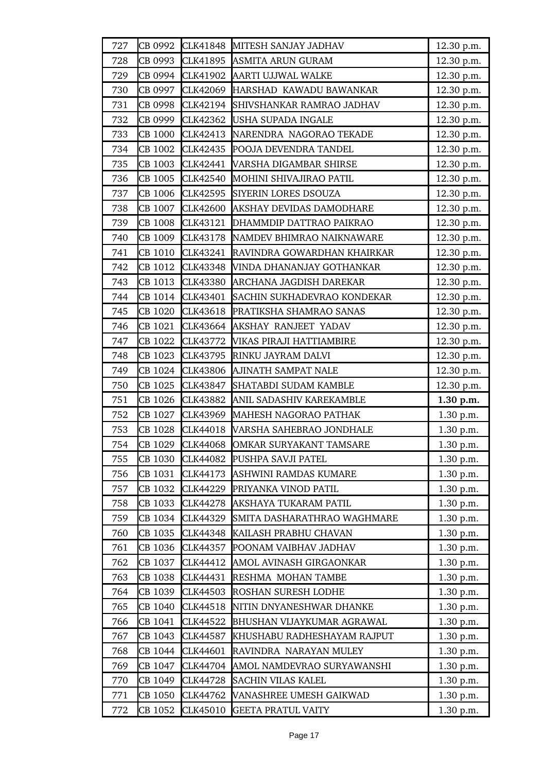| 727 | CB 0992 | CLK41848        | MITESH SANJAY JADHAV               | 12.30 p.m. |
|-----|---------|-----------------|------------------------------------|------------|
| 728 | CB 0993 | CLK41895        | ASMITA ARUN GURAM                  | 12.30 p.m. |
| 729 | CB 0994 | CLK41902        | AARTI UJJWAL WALKE                 | 12.30 p.m. |
| 730 | CB 0997 | CLK42069        | HARSHAD KAWADU BAWANKAR            | 12.30 p.m. |
| 731 | CB 0998 | CLK42194        | SHIVSHANKAR RAMRAO JADHAV          | 12.30 p.m. |
| 732 | CB 0999 | CLK42362        | USHA SUPADA INGALE                 | 12.30 p.m. |
| 733 | CB 1000 | CLK42413        | NARENDRA NAGORAO TEKADE            | 12.30 p.m. |
| 734 | CB 1002 | CLK42435        | POOJA DEVENDRA TANDEL              | 12.30 p.m. |
| 735 | CB 1003 | CLK42441        | VARSHA DIGAMBAR SHIRSE             | 12.30 p.m. |
| 736 | CB 1005 | CLK42540        | MOHINI SHIVAJIRAO PATIL            | 12.30 p.m. |
| 737 | CB 1006 | CLK42595        | SIYERIN LORES DSOUZA               | 12.30 p.m. |
| 738 | CB 1007 | CLK42600        | <b>AKSHAY DEVIDAS DAMODHARE</b>    | 12.30 p.m. |
| 739 | CB 1008 | CLK43121        | DHAMMDIP DATTRAO PAIKRAO           | 12.30 p.m. |
| 740 | CB 1009 | CLK43178        | NAMDEV BHIMRAO NAIKNAWARE          | 12.30 p.m. |
| 741 | CB 1010 | CLK43241        | RAVINDRA GOWARDHAN KHAIRKAR        | 12.30 p.m. |
| 742 | CB 1012 | CLK43348        | VINDA DHANANJAY GOTHANKAR          | 12.30 p.m. |
| 743 | CB 1013 | <b>CLK43380</b> | ARCHANA JAGDISH DAREKAR            | 12.30 p.m. |
| 744 | CB 1014 | CLK43401        | <b>SACHIN SUKHADEVRAO KONDEKAR</b> | 12.30 p.m. |
| 745 | CB 1020 | CLK43618        | PRATIKSHA SHAMRAO SANAS            | 12.30 p.m. |
| 746 | CB 1021 | CLK43664        | AKSHAY RANJEET YADAV               | 12.30 p.m. |
| 747 | CB 1022 | CLK43772        | VIKAS PIRAJI HATTIAMBIRE           | 12.30 p.m. |
| 748 | CB 1023 | CLK43795        | RINKU JAYRAM DALVI                 | 12.30 p.m. |
| 749 | CB 1024 | <b>CLK43806</b> | AJINATH SAMPAT NALE                | 12.30 p.m. |
|     |         |                 |                                    |            |
| 750 | CB 1025 | CLK43847        | SHATABDI SUDAM KAMBLE              | 12.30 p.m. |
| 751 | CB 1026 | <b>CLK43882</b> | ANIL SADASHIV KAREKAMBLE           | 1.30 p.m.  |
| 752 | CB 1027 | CLK43969        | MAHESH NAGORAO PATHAK              | 1.30 p.m.  |
| 753 | CB 1028 | CLK44018        | VARSHA SAHEBRAO JONDHALE           | 1.30 p.m.  |
| 754 | CB 1029 | <b>CLK44068</b> | OMKAR SURYAKANT TAMSARE            | 1.30 p.m.  |
| 755 | CB 1030 | <b>CLK44082</b> | PUSHPA SAVJI PATEL                 | 1.30 p.m.  |
| 756 | CB 1031 | CLK44173        | <b>ASHWINI RAMDAS KUMARE</b>       | 1.30 p.m.  |
| 757 | CB 1032 | CLK44229        | PRIYANKA VINOD PATIL               | 1.30 p.m.  |
| 758 | CB 1033 | CLK44278        | AKSHAYA TUKARAM PATIL              | 1.30 p.m.  |
| 759 | CB 1034 | CLK44329        | SMITA DASHARATHRAO WAGHMARE        | 1.30 p.m.  |
| 760 | CB 1035 | CLK44348        | KAILASH PRABHU CHAVAN              | 1.30 p.m.  |
| 761 | CB 1036 | CLK44357        | POONAM VAIBHAV JADHAV              | 1.30 p.m.  |
| 762 | CB 1037 | CLK44412        | AMOL AVINASH GIRGAONKAR            | 1.30 p.m.  |
| 763 | CB 1038 | CLK44431        | RESHMA MOHAN TAMBE                 | 1.30 p.m.  |
| 764 | CB 1039 | CLK44503        | ROSHAN SURESH LODHE                | 1.30 p.m.  |
| 765 | CB 1040 | CLK44518        | NITIN DNYANESHWAR DHANKE           | 1.30 p.m.  |
| 766 | CB 1041 | CLK44522        | BHUSHAN VIJAYKUMAR AGRAWAL         | 1.30 p.m.  |
| 767 | CB 1043 | CLK44587        | KHUSHABU RADHESHAYAM RAJPUT        | 1.30 p.m.  |
| 768 | CB 1044 | CLK44601        | RAVINDRA NARAYAN MULEY             | 1.30 p.m.  |
| 769 | CB 1047 | CLK44704        | AMOL NAMDEVRAO SURYAWANSHI         | 1.30 p.m.  |
| 770 | CB 1049 | CLK44728        | <b>SACHIN VILAS KALEL</b>          | 1.30 p.m.  |
| 771 | CB 1050 | CLK44762        | VANASHREE UMESH GAIKWAD            | 1.30 p.m.  |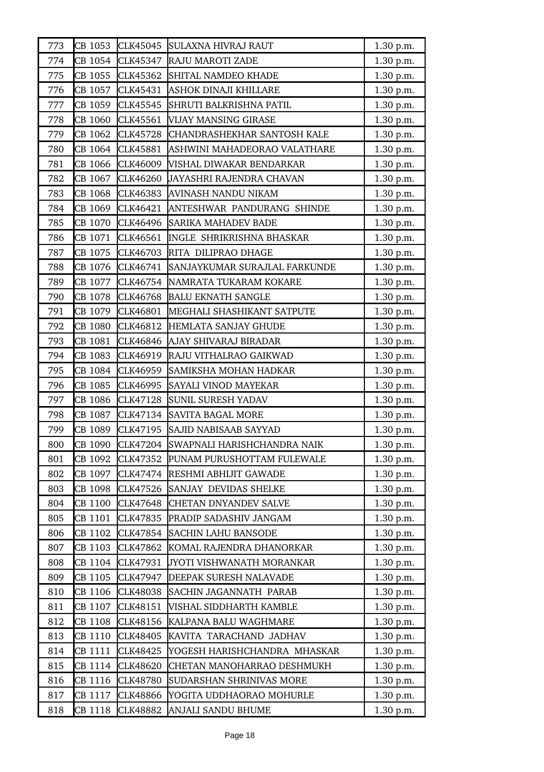| 773 | CB 1053 | CLK45045        | SULAXNA HIVRAJ RAUT              | 1.30 p.m. |
|-----|---------|-----------------|----------------------------------|-----------|
| 774 | CB 1054 | CLK45347        | RAJU MAROTI ZADE                 | 1.30 p.m. |
| 775 | CB 1055 | CLK45362        | SHITAL NAMDEO KHADE              | 1.30 p.m. |
| 776 | CB 1057 | CLK45431        | ASHOK DINAJI KHILLARE            | 1.30 p.m. |
| 777 | CB 1059 | CLK45545        | SHRUTI BALKRISHNA PATIL          | 1.30 p.m. |
| 778 | CB 1060 | CLK45561        | VIJAY MANSING GIRASE             | 1.30 p.m. |
| 779 | CB 1062 | CLK45728        | CHANDRASHEKHAR SANTOSH KALE      | 1.30 p.m. |
| 780 | CB 1064 | CLK45881        | ASHWINI MAHADEORAO VALATHARE     | 1.30 p.m. |
| 781 | CB 1066 | CLK46009        | VISHAL DIWAKAR BENDARKAR         | 1.30 p.m. |
| 782 | CB 1067 | CLK46260        | <b>JAYASHRI RAJENDRA CHAVAN</b>  | 1.30 p.m. |
| 783 | CB 1068 | CLK46383        | AVINASH NANDU NIKAM              | 1.30 p.m. |
| 784 | CB 1069 | CLK46421        | ANTESHWAR PANDURANG SHINDE       | 1.30 p.m. |
| 785 | CB 1070 | CLK46496        | <b>SARIKA MAHADEV BADE</b>       | 1.30 p.m. |
| 786 | CB 1071 | CLK46561        | <b>INGLE SHRIKRISHNA BHASKAR</b> | 1.30 p.m. |
| 787 | CB 1075 | CLK46703        | RITA DILIPRAO DHAGE              | 1.30 p.m. |
| 788 | CB 1076 | CLK46741        | SANJAYKUMAR SURAJLAL FARKUNDE    | 1.30 p.m. |
| 789 | CB 1077 | CLK46754        | NAMRATA TUKARAM KOKARE           | 1.30 p.m. |
| 790 | CB 1078 | CLK46768        | <b>BALU EKNATH SANGLE</b>        | 1.30 p.m. |
| 791 | CB 1079 | CLK46801        | MEGHALI SHASHIKANT SATPUTE       | 1.30 p.m. |
| 792 | CB 1080 | CLK46812        | HEMLATA SANJAY GHUDE             | 1.30 p.m. |
| 793 | CB 1081 | CLK46846        | AJAY SHIVARAJ BIRADAR            | 1.30 p.m. |
| 794 | CB 1083 | CLK46919        | RAJU VITHALRAO GAIKWAD           | 1.30 p.m. |
| 795 | CB 1084 | CLK46959        | SAMIKSHA MOHAN HADKAR            | 1.30 p.m. |
| 796 | CB 1085 | CLK46995        | SAYALI VINOD MAYEKAR             | 1.30 p.m. |
| 797 | CB 1086 | CLK47128        | SUNIL SURESH YADAV               | 1.30 p.m. |
| 798 | CB 1087 | CLK47134        | <b>SAVITA BAGAL MORE</b>         | 1.30 p.m. |
| 799 | CB 1089 | CLK47195        | <b>SAJID NABISAAB SAYYAD</b>     | 1.30 p.m. |
| 800 | CB 1090 | CLK47204        | SWAPNALI HARISHCHANDRA NAIK      | 1.30 p.m. |
| 801 | CB 1092 | CLK47352        | PUNAM PURUSHOTTAM FULEWALE       | 1.30 p.m. |
| 802 | CB 1097 | CLK47474        | <b>RESHMI ABHIJIT GAWADE</b>     | 1.30 p.m. |
| 803 | CB 1098 | CLK47526        | <b>SANJAY DEVIDAS SHELKE</b>     | 1.30 p.m. |
| 804 | CB 1100 | CLK47648        | <b>CHETAN DNYANDEV SALVE</b>     | 1.30 p.m. |
| 805 | CB 1101 | CLK47835        | PRADIP SADASHIV JANGAM           | 1.30 p.m. |
| 806 | CB 1102 | <b>CLK47854</b> | <b>SACHIN LAHU BANSODE</b>       | 1.30 p.m. |
| 807 | CB 1103 | CLK47862        | KOMAL RAJENDRA DHANORKAR         | 1.30 p.m. |
| 808 | CB 1104 | CLK47931        | JYOTI VISHWANATH MORANKAR        | 1.30 p.m. |
| 809 | CB 1105 | CLK47947        | DEEPAK SURESH NALAVADE           | 1.30 p.m. |
| 810 | CB 1106 | <b>CLK48038</b> | SACHIN JAGANNATH PARAB           | 1.30 p.m. |
| 811 | CB 1107 | CLK48151        | VISHAL SIDDHARTH KAMBLE          | 1.30 p.m. |
| 812 | CB 1108 | CLK48156        | KALPANA BALU WAGHMARE            | 1.30 p.m. |
| 813 | CB 1110 | CLK48405        | KAVITA TARACHAND JADHAV          | 1.30 p.m. |
| 814 | CB 1111 | CLK48425        | YOGESH HARISHCHANDRA MHASKAR     | 1.30 p.m. |
| 815 | CB 1114 | <b>CLK48620</b> | CHETAN MANOHARRAO DESHMUKH       | 1.30 p.m. |
| 816 | CB 1116 | <b>CLK48780</b> | SUDARSHAN SHRINIVAS MORE         | 1.30 p.m. |
| 817 | CB 1117 | CLK48866        | YOGITA UDDHAORAO MOHURLE         | 1.30 p.m. |
| 818 | CB 1118 | CLK48882        | ANJALI SANDU BHUME               | 1.30 p.m. |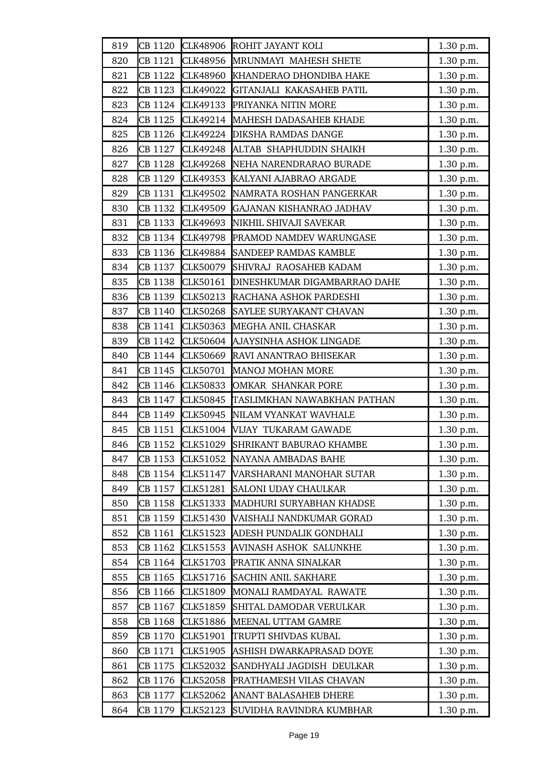| 819 | CB 1120 | CLK48906        | ROHIT JAYANT KOLI             | 1.30 p.m. |
|-----|---------|-----------------|-------------------------------|-----------|
| 820 | CB 1121 | CLK48956        | MRUNMAYI MAHESH SHETE         | 1.30 p.m. |
| 821 | CB 1122 | CLK48960        | KHANDERAO DHONDIBA HAKE       | 1.30 p.m. |
| 822 | CB 1123 | CLK49022        | GITANJALI KAKASAHEB PATIL     | 1.30 p.m. |
| 823 | CB 1124 | CLK49133        | PRIYANKA NITIN MORE           | 1.30 p.m. |
| 824 | CB 1125 | CLK49214        | MAHESH DADASAHEB KHADE        | 1.30 p.m. |
| 825 | CB 1126 |                 | CLK49224 DIKSHA RAMDAS DANGE  | 1.30 p.m. |
| 826 | CB 1127 | CLK49248        | ALTAB SHAPHUDDIN SHAIKH       | 1.30 p.m. |
| 827 | CB 1128 | <b>CLK49268</b> | NEHA NARENDRARAO BURADE       | 1.30 p.m. |
| 828 | CB 1129 | CLK49353        | KALYANI AJABRAO ARGADE        | 1.30 p.m. |
| 829 | CB 1131 | CLK49502        | NAMRATA ROSHAN PANGERKAR      | 1.30 p.m. |
| 830 | CB 1132 | CLK49509        | GAJANAN KISHANRAO JADHAV      | 1.30 p.m. |
| 831 | CB 1133 | CLK49693        | NIKHIL SHIVAJI SAVEKAR        | 1.30 p.m. |
| 832 | CB 1134 | CLK49798        | PRAMOD NAMDEV WARUNGASE       | 1.30 p.m. |
| 833 | CB 1136 | <b>CLK49884</b> | <b>SANDEEP RAMDAS KAMBLE</b>  | 1.30 p.m. |
| 834 | CB 1137 | CLK50079        | SHIVRAJ RAOSAHEB KADAM        | 1.30 p.m. |
| 835 | CB 1138 | CLK50161        | DINESHKUMAR DIGAMBARRAO DAHE  | 1.30 p.m. |
| 836 | CB 1139 | CLK50213        | RACHANA ASHOK PARDESHI        | 1.30 p.m. |
| 837 | CB 1140 | <b>CLK50268</b> | SAYLEE SURYAKANT CHAVAN       | 1.30 p.m. |
| 838 | CB 1141 | CLK50363        | MEGHA ANIL CHASKAR            | 1.30 p.m. |
| 839 | CB 1142 | <b>CLK50604</b> | AJAYSINHA ASHOK LINGADE       | 1.30 p.m. |
| 840 | CB 1144 | CLK50669        | RAVI ANANTRAO BHISEKAR        | 1.30 p.m. |
| 841 | CB 1145 | CLK50701        | <b>MANOJ MOHAN MORE</b>       | 1.30 p.m. |
| 842 | CB 1146 | <b>CLK50833</b> | OMKAR SHANKAR PORE            | 1.30 p.m. |
| 843 | CB 1147 | <b>CLK50845</b> | TASLIMKHAN NAWABKHAN PATHAN   | 1.30 p.m. |
| 844 | CB 1149 | CLK50945        | NILAM VYANKAT WAVHALE         | 1.30 p.m. |
| 845 | CB 1151 |                 | CLK51004 VIJAY TUKARAM GAWADE | 1.30 p.m. |
| 846 | CB 1152 | CLK51029        | SHRIKANT BABURAO KHAMBE       | 1.30 p.m. |
| 847 | CB 1153 | CLK51052        | NAYANA AMBADAS BAHE           | 1.30 p.m. |
| 848 | CB 1154 | CLK51147        | VARSHARANI MANOHAR SUTAR      | 1.30 p.m. |
| 849 | CB 1157 | CLK51281        | SALONI UDAY CHAULKAR          | 1.30 p.m. |
| 850 | CB 1158 | CLK51333        | MADHURI SURYABHAN KHADSE      | 1.30 p.m. |
| 851 | CB 1159 | CLK51430        | VAISHALI NANDKUMAR GORAD      | 1.30 p.m. |
| 852 | CB 1161 | CLK51523        | ADESH PUNDALIK GONDHALI       | 1.30 p.m. |
| 853 | CB 1162 | CLK51553        | AVINASH ASHOK SALUNKHE        | 1.30 p.m. |
| 854 | CB 1164 | CLK51703        | PRATIK ANNA SINALKAR          | 1.30 p.m. |
| 855 | CB 1165 | CLK51716        | <b>SACHIN ANIL SAKHARE</b>    | 1.30 p.m. |
| 856 | CB 1166 | <b>CLK51809</b> | MONALI RAMDAYAL RAWATE        | 1.30 p.m. |
| 857 | CB 1167 | CLK51859        | SHITAL DAMODAR VERULKAR       | 1.30 p.m. |
| 858 | CB 1168 | CLK51886        | MEENAL UTTAM GAMRE            | 1.30 p.m. |
| 859 | CB 1170 | CLK51901        | TRUPTI SHIVDAS KUBAL          | 1.30 p.m. |
| 860 | CB 1171 | CLK51905        | ASHISH DWARKAPRASAD DOYE      | 1.30 p.m. |
| 861 | CB 1175 | <b>CLK52032</b> | SANDHYALI JAGDISH DEULKAR     | 1.30 p.m. |
| 862 | CB 1176 | CLK52058        | PRATHAMESH VILAS CHAVAN       | 1.30 p.m. |
| 863 | CB 1177 | CLK52062        | ANANT BALASAHEB DHERE         | 1.30 p.m. |
| 864 | CB 1179 | CLK52123        | SUVIDHA RAVINDRA KUMBHAR      | 1.30 p.m. |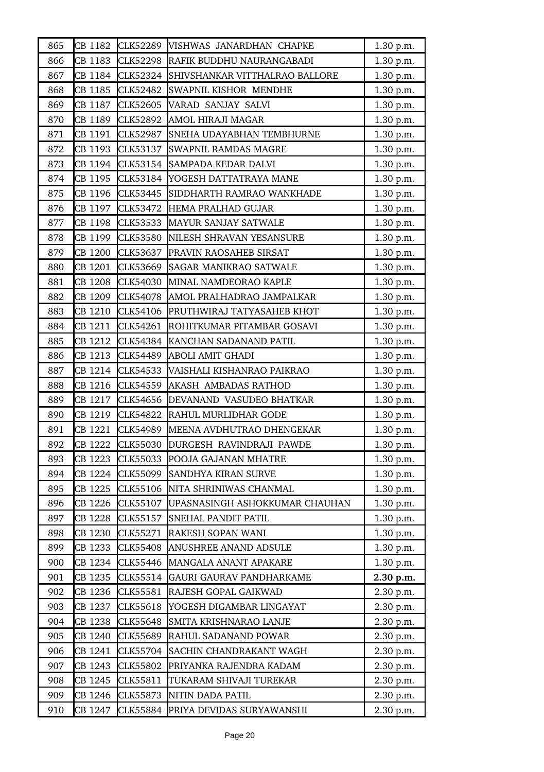| 865 | CB 1182 | CLK52289        | VISHWAS JANARDHAN CHAPKE        | 1.30 p.m. |
|-----|---------|-----------------|---------------------------------|-----------|
| 866 | CB 1183 | <b>CLK52298</b> | RAFIK BUDDHU NAURANGABADI       | 1.30 p.m. |
| 867 | CB 1184 | <b>CLK52324</b> | SHIVSHANKAR VITTHALRAO BALLORE  | 1.30 p.m. |
| 868 | CB 1185 | CLK52482        | <b>SWAPNIL KISHOR MENDHE</b>    | 1.30 p.m. |
| 869 | CB 1187 | <b>CLK52605</b> | VARAD SANJAY SALVI              | 1.30 p.m. |
| 870 | CB 1189 | CLK52892        | AMOL HIRAJI MAGAR               | 1.30 p.m. |
| 871 | CB 1191 | CLK52987        | SNEHA UDAYABHAN TEMBHURNE       | 1.30 p.m. |
| 872 | CB 1193 | CLK53137        | <b>SWAPNIL RAMDAS MAGRE</b>     | 1.30 p.m. |
| 873 | CB 1194 | CLK53154        | <b>SAMPADA KEDAR DALVI</b>      | 1.30 p.m. |
| 874 | CB 1195 | CLK53184        | YOGESH DATTATRAYA MANE          | 1.30 p.m. |
| 875 | CB 1196 | CLK53445        | SIDDHARTH RAMRAO WANKHADE       | 1.30 p.m. |
| 876 | CB 1197 | CLK53472        | HEMA PRALHAD GUJAR              | 1.30 p.m. |
| 877 | CB 1198 | CLK53533        | MAYUR SANJAY SATWALE            | 1.30 p.m. |
| 878 | CB 1199 | CLK53580        | NILESH SHRAVAN YESANSURE        | 1.30 p.m. |
| 879 | CB 1200 | CLK53637        | <b>PRAVIN RAOSAHEB SIRSAT</b>   | 1.30 p.m. |
| 880 | CB 1201 | CLK53669        | <b>SAGAR MANIKRAO SATWALE</b>   | 1.30 p.m. |
| 881 | CB 1208 | CLK54030        | MINAL NAMDEORAO KAPLE           | 1.30 p.m. |
| 882 | CB 1209 | CLK54078        | AMOL PRALHADRAO JAMPALKAR       | 1.30 p.m. |
| 883 | CB 1210 | CLK54106        | PRUTHWIRAJ TATYASAHEB KHOT      | 1.30 p.m. |
| 884 | CB 1211 | CLK54261        | ROHITKUMAR PITAMBAR GOSAVI      | 1.30 p.m. |
| 885 | CB 1212 | CLK54384        | KANCHAN SADANAND PATIL          | 1.30 p.m. |
| 886 | CB 1213 | CLK54489        | <b>ABOLI AMIT GHADI</b>         | 1.30 p.m. |
| 887 | CB 1214 | CLK54533        | VAISHALI KISHANRAO PAIKRAO      | 1.30 p.m. |
| 888 | CB 1216 | CLK54559        | <b>AKASH AMBADAS RATHOD</b>     | 1.30 p.m. |
| 889 | CB 1217 | CLK54656        | DEVANAND VASUDEO BHATKAR        | 1.30 p.m. |
| 890 | CB 1219 |                 | CLK54822 RAHUL MURLIDHAR GODE   | 1.30 p.m. |
| 891 | CB 1221 | CLK54989        | MEENA AVDHUTRAO DHENGEKAR       | 1.30 p.m. |
| 892 | CB 1222 | <b>CLK55030</b> | DURGESH RAVINDRAJI PAWDE        | 1.30 p.m. |
| 893 | CB 1223 | CLK55033        | POOJA GAJANAN MHATRE            | 1.30 p.m. |
| 894 | CB 1224 | CLK55099        | <b>SANDHYA KIRAN SURVE</b>      | 1.30 p.m. |
| 895 | CB 1225 | CLK55106        | NITA SHRINIWAS CHANMAL          | 1.30 p.m. |
| 896 | CB 1226 | CLK55107        | UPASNASINGH ASHOKKUMAR CHAUHAN  | 1.30 p.m. |
| 897 | CB 1228 | CLK55157        | <b>SNEHAL PANDIT PATIL</b>      | 1.30 p.m. |
| 898 | CB 1230 | CLK55271        | RAKESH SOPAN WANI               | 1.30 p.m. |
| 899 | CB 1233 | CLK55408        | <b>ANUSHREE ANAND ADSULE</b>    | 1.30 p.m. |
| 900 | CB 1234 | CLK55446        | MANGALA ANANT APAKARE           | 1.30 p.m. |
| 901 | CB 1235 | CLK55514        | <b>GAURI GAURAV PANDHARKAME</b> | 2.30 p.m. |
| 902 | CB 1236 | <b>CLK55581</b> | RAJESH GOPAL GAIKWAD            | 2.30 p.m. |
| 903 | CB 1237 | CLK55618        | YOGESH DIGAMBAR LINGAYAT        | 2.30 p.m. |
| 904 | CB 1238 | CLK55648        | SMITA KRISHNARAO LANJE          | 2.30 p.m. |
| 905 | CB 1240 | CLK55689        | RAHUL SADANAND POWAR            | 2.30 p.m. |
| 906 | CB 1241 | CLK55704        | SACHIN CHANDRAKANT WAGH         | 2.30 p.m. |
| 907 | CB 1243 | CLK55802        | PRIYANKA RAJENDRA KADAM         | 2.30 p.m. |
| 908 | CB 1245 | CLK55811        | TUKARAM SHIVAJI TUREKAR         | 2.30 p.m. |
| 909 | CB 1246 | CLK55873        | NITIN DADA PATIL                | 2.30 p.m. |
| 910 | CB 1247 | CLK55884        | PRIYA DEVIDAS SURYAWANSHI       | 2.30 p.m. |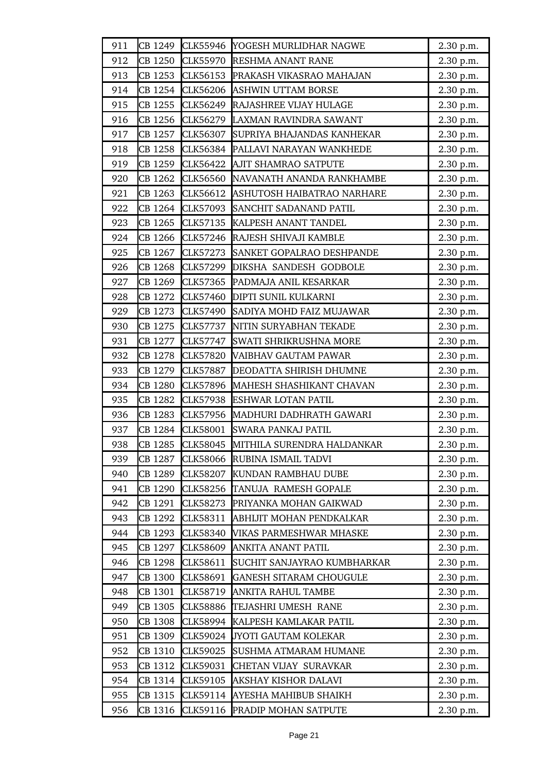| 911 | CB 1249 | CLK55946        | YOGESH MURLIDHAR NAGWE         | 2.30 p.m. |
|-----|---------|-----------------|--------------------------------|-----------|
| 912 | CB 1250 | CLK55970        | <b>RESHMA ANANT RANE</b>       | 2.30 p.m. |
| 913 | CB 1253 | CLK56153        | PRAKASH VIKASRAO MAHAJAN       | 2.30 p.m. |
| 914 | CB 1254 | CLK56206        | <b>ASHWIN UTTAM BORSE</b>      | 2.30 p.m. |
| 915 | CB 1255 | CLK56249        | RAJASHREE VIJAY HULAGE         | 2.30 p.m. |
| 916 | CB 1256 | CLK56279        | LAXMAN RAVINDRA SAWANT         | 2.30 p.m. |
| 917 | CB 1257 | CLK56307        | SUPRIYA BHAJANDAS KANHEKAR     | 2.30 p.m. |
| 918 | CB 1258 | CLK56384        | PALLAVI NARAYAN WANKHEDE       | 2.30 p.m. |
| 919 | CB 1259 | CLK56422        | <b>AJIT SHAMRAO SATPUTE</b>    | 2.30 p.m. |
| 920 | CB 1262 | CLK56560        | NAVANATH ANANDA RANKHAMBE      | 2.30 p.m. |
| 921 | CB 1263 | CLK56612        | ASHUTOSH HAIBATRAO NARHARE     | 2.30 p.m. |
| 922 | CB 1264 | CLK57093        | SANCHIT SADANAND PATIL         | 2.30 p.m. |
| 923 | CB 1265 | CLK57135        | KALPESH ANANT TANDEL           | 2.30 p.m. |
| 924 | CB 1266 | CLK57246        | RAJESH SHIVAJI KAMBLE          | 2.30 p.m. |
| 925 | CB 1267 | CLK57273        | SANKET GOPALRAO DESHPANDE      | 2.30 p.m. |
| 926 | CB 1268 | CLK57299        | DIKSHA SANDESH GODBOLE         | 2.30 p.m. |
| 927 | CB 1269 | CLK57365        | PADMAJA ANIL KESARKAR          | 2.30 p.m. |
| 928 | CB 1272 | CLK57460        | <b>DIPTI SUNIL KULKARNI</b>    | 2.30 p.m. |
| 929 | CB 1273 | CLK57490        | SADIYA MOHD FAIZ MUJAWAR       | 2.30 p.m. |
| 930 | CB 1275 | CLK57737        | NITIN SURYABHAN TEKADE         | 2.30 p.m. |
| 931 | CB 1277 | CLK57747        | SWATI SHRIKRUSHNA MORE         | 2.30 p.m. |
| 932 | CB 1278 | <b>CLK57820</b> | VAIBHAV GAUTAM PAWAR           | 2.30 p.m. |
| 933 | CB 1279 | <b>CLK57887</b> | DEODATTA SHIRISH DHUMNE        | 2.30 p.m. |
| 934 | CB 1280 | <b>CLK57896</b> | MAHESH SHASHIKANT CHAVAN       | 2.30 p.m. |
| 935 | CB 1282 | CLK57938        | ESHWAR LOTAN PATIL             | 2.30 p.m. |
| 936 | CB 1283 | CLK57956        | MADHURI DADHRATH GAWARI        | 2.30 p.m. |
| 937 | CB 1284 | <b>CLK58001</b> | <b>SWARA PANKAJ PATIL</b>      | 2.30 p.m. |
| 938 | CB 1285 | <b>CLK58045</b> | MITHILA SURENDRA HALDANKAR     | 2.30 p.m. |
| 939 | CB 1287 | CLK58066        | RUBINA ISMAIL TADVI            | 2.30 p.m. |
| 940 | CB 1289 | <b>CLK58207</b> | KUNDAN RAMBHAU DUBE            | 2.30 p.m. |
| 941 | CB 1290 | CLK58256        | TANUJA RAMESH GOPALE           | 2.30 p.m. |
| 942 | CB 1291 | CLK58273        | PRIYANKA MOHAN GAIKWAD         | 2.30 p.m. |
| 943 | CB 1292 | CLK58311        | ABHIJIT MOHAN PENDKALKAR       | 2.30 p.m. |
| 944 | CB 1293 | CLK58340        | VIKAS PARMESHWAR MHASKE        | 2.30 p.m. |
| 945 | CB 1297 | <b>CLK58609</b> | ANKITA ANANT PATIL             | 2.30 p.m. |
| 946 | CB 1298 | CLK58611        | SUCHIT SANJAYRAO KUMBHARKAR    | 2.30 p.m. |
| 947 | CB 1300 | CLK58691        | <b>GANESH SITARAM CHOUGULE</b> | 2.30 p.m. |
| 948 | CB 1301 | CLK58719        | ANKITA RAHUL TAMBE             | 2.30 p.m. |
| 949 | CB 1305 | <b>CLK58886</b> | TEJASHRI UMESH RANE            | 2.30 p.m. |
| 950 | CB 1308 | CLK58994        | KALPESH KAMLAKAR PATIL         | 2.30 p.m. |
| 951 | CB 1309 | CLK59024        | JYOTI GAUTAM KOLEKAR           | 2.30 p.m. |
| 952 | CB 1310 | CLK59025        | <b>SUSHMA ATMARAM HUMANE</b>   | 2.30 p.m. |
| 953 | CB 1312 | CLK59031        | CHETAN VIJAY SURAVKAR          | 2.30 p.m. |
| 954 | CB 1314 | CLK59105        | AKSHAY KISHOR DALAVI           | 2.30 p.m. |
| 955 | CB 1315 | CLK59114        | AYESHA MAHIBUB SHAIKH          | 2.30 p.m. |
| 956 | CB 1316 | CLK59116        | PRADIP MOHAN SATPUTE           | 2.30 p.m. |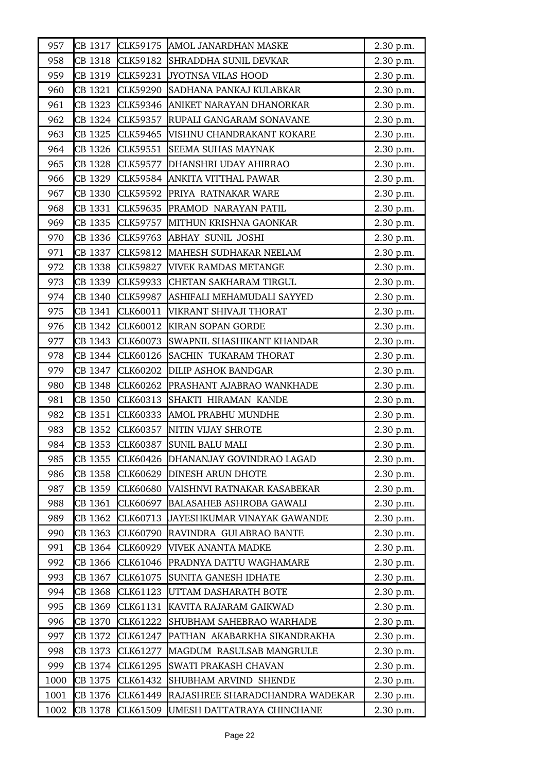| 957  | CB 1317 | CLK59175        | AMOL JANARDHAN MASKE               | 2.30 p.m. |
|------|---------|-----------------|------------------------------------|-----------|
| 958  | CB 1318 | CLK59182        | SHRADDHA SUNIL DEVKAR              | 2.30 p.m. |
| 959  | CB 1319 | CLK59231        | <b>JYOTNSA VILAS HOOD</b>          | 2.30 p.m. |
| 960  | CB 1321 | CLK59290        | SADHANA PANKAJ KULABKAR            | 2.30 p.m. |
| 961  | CB 1323 | CLK59346        | ANIKET NARAYAN DHANORKAR           | 2.30 p.m. |
| 962  | CB 1324 | CLK59357        | RUPALI GANGARAM SONAVANE           | 2.30 p.m. |
| 963  | CB 1325 | CLK59465        | VISHNU CHANDRAKANT KOKARE          | 2.30 p.m. |
| 964  | CB 1326 | CLK59551        | <b>SEEMA SUHAS MAYNAK</b>          | 2.30 p.m. |
| 965  | CB 1328 | CLK59577        | DHANSHRI UDAY AHIRRAO              | 2.30 p.m. |
| 966  | CB 1329 | CLK59584        | ANKITA VITTHAL PAWAR               | 2.30 p.m. |
| 967  | CB 1330 | CLK59592        | PRIYA RATNAKAR WARE                | 2.30 p.m. |
| 968  | CB 1331 | CLK59635        | PRAMOD NARAYAN PATIL               | 2.30 p.m. |
| 969  | CB 1335 | CLK59757        | MITHUN KRISHNA GAONKAR             | 2.30 p.m. |
| 970  | CB 1336 | CLK59763        | <b>ABHAY SUNIL JOSHI</b>           | 2.30 p.m. |
| 971  | CB 1337 | CLK59812        | MAHESH SUDHAKAR NEELAM             | 2.30 p.m. |
| 972  | CB 1338 | CLK59827        | <b>VIVEK RAMDAS METANGE</b>        | 2.30 p.m. |
| 973  | CB 1339 | CLK59933        | CHETAN SAKHARAM TIRGUL             | 2.30 p.m. |
| 974  | CB 1340 | CLK59987        | ASHIFALI MEHAMUDALI SAYYED         | 2.30 p.m. |
| 975  | CB 1341 | CLK60011        | VIKRANT SHIVAJI THORAT             | 2.30 p.m. |
| 976  | CB 1342 | CLK60012        | <b>KIRAN SOPAN GORDE</b>           | 2.30 p.m. |
| 977  | CB 1343 | CLK60073        | SWAPNIL SHASHIKANT KHANDAR         | 2.30 p.m. |
| 978  | CB 1344 | CLK60126        | <b>SACHIN TUKARAM THORAT</b>       | 2.30 p.m. |
| 979  | CB 1347 | CLK60202        | <b>DILIP ASHOK BANDGAR</b>         | 2.30 p.m. |
| 980  | CB 1348 | CLK60262        | <b>PRASHANT AJABRAO WANKHADE</b>   | 2.30 p.m. |
| 981  | CB 1350 | CLK60313        | SHAKTI HIRAMAN KANDE               | 2.30 p.m. |
| 982  | CB 1351 | CLK60333        | AMOL PRABHU MUNDHE                 | 2.30 p.m. |
| 983  | CB 1352 | CLK60357        | NITIN VIJAY SHROTE                 | 2.30 p.m. |
| 984  | CB 1353 | <b>CLK60387</b> | <b>SUNIL BALU MALI</b>             | 2.30 p.m. |
| 985  | CB 1355 | CLK60426        | DHANANJAY GOVINDRAO LAGAD          | 2.30 p.m. |
| 986  | CB 1358 | CLK60629        | <b>DINESH ARUN DHOTE</b>           | 2.30 p.m. |
| 987  | CB 1359 | CLK60680        | VAISHNVI RATNAKAR KASABEKAR        | 2.30 p.m. |
| 988  | CB 1361 | CLK60697        | <b>BALASAHEB ASHROBA GAWALI</b>    | 2.30 p.m. |
| 989  | CB 1362 | CLK60713        | <b>JAYESHKUMAR VINAYAK GAWANDE</b> | 2.30 p.m. |
| 990  | CB 1363 | CLK60790        | RAVINDRA GULABRAO BANTE            | 2.30 p.m. |
| 991  | CB 1364 | CLK60929        | VIVEK ANANTA MADKE                 | 2.30 p.m. |
| 992  | CB 1366 | CLK61046        | PRADNYA DATTU WAGHAMARE            | 2.30 p.m. |
| 993  | CB 1367 | CLK61075        | SUNITA GANESH IDHATE               | 2.30 p.m. |
| 994  | CB 1368 | CLK61123        | UTTAM DASHARATH BOTE               | 2.30 p.m. |
| 995  | CB 1369 | CLK61131        | KAVITA RAJARAM GAIKWAD             | 2.30 p.m. |
| 996  | CB 1370 | CLK61222        | <b>SHUBHAM SAHEBRAO WARHADE</b>    | 2.30 p.m. |
| 997  | CB 1372 | CLK61247        | PATHAN AKABARKHA SIKANDRAKHA       | 2.30 p.m. |
| 998  | CB 1373 | CLK61277        | MAGDUM RASULSAB MANGRULE           | 2.30 p.m. |
| 999  | CB 1374 | CLK61295        | SWATI PRAKASH CHAVAN               | 2.30 p.m. |
| 1000 | CB 1375 | CLK61432        | SHUBHAM ARVIND SHENDE              | 2.30 p.m. |
| 1001 | CB 1376 | CLK61449        | RAJASHREE SHARADCHANDRA WADEKAR    | 2.30 p.m. |
| 1002 | CB 1378 | CLK61509        | UMESH DATTATRAYA CHINCHANE         | 2.30 p.m. |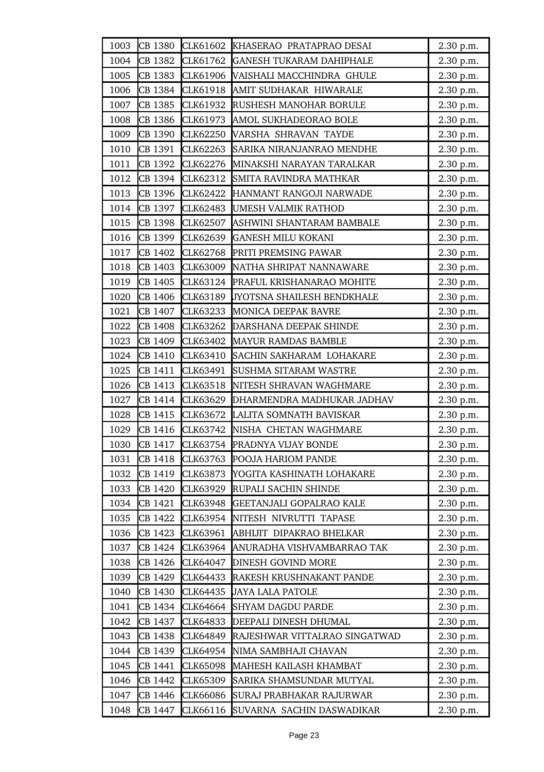| 1003 | CB 1380 |                 | CLK61602 KHASERAO PRATAPRAO DESAI | 2.30 p.m. |
|------|---------|-----------------|-----------------------------------|-----------|
| 1004 | CB 1382 | CLK61762        | <b>GANESH TUKARAM DAHIPHALE</b>   | 2.30 p.m. |
| 1005 | CB 1383 | CLK61906        | VAISHALI MACCHINDRA GHULE         | 2.30 p.m. |
| 1006 | CB 1384 | CLK61918        | AMIT SUDHAKAR HIWARALE            | 2.30 p.m. |
| 1007 | CB 1385 | CLK61932        | RUSHESH MANOHAR BORULE            | 2.30 p.m. |
| 1008 | CB 1386 | CLK61973        | AMOL SUKHADEORAO BOLE             | 2.30 p.m. |
| 1009 | CB 1390 | CLK62250        | VARSHA SHRAVAN TAYDE              | 2.30 p.m. |
| 1010 | CB 1391 | CLK62263        | SARIKA NIRANJANRAO MENDHE         | 2.30 p.m. |
| 1011 | CB 1392 | CLK62276        | MINAKSHI NARAYAN TARALKAR         | 2.30 p.m. |
| 1012 | CB 1394 | CLK62312        | SMITA RAVINDRA MATHKAR            | 2.30 p.m. |
| 1013 | CB 1396 | CLK62422        | HANMANT RANGOJI NARWADE           | 2.30 p.m. |
| 1014 | CB 1397 | CLK62483        | UMESH VALMIK RATHOD               | 2.30 p.m. |
| 1015 | CB 1398 | CLK62507        | ASHWINI SHANTARAM BAMBALE         | 2.30 p.m. |
| 1016 | CB 1399 | CLK62639        | <b>GANESH MILU KOKANI</b>         | 2.30 p.m. |
| 1017 | CB 1402 | CLK62768        | PRITI PREMSING PAWAR              | 2.30 p.m. |
| 1018 | CB 1403 | CLK63009        | NATHA SHRIPAT NANNAWARE           | 2.30 p.m. |
| 1019 | CB 1405 | CLK63124        | PRAFUL KRISHANARAO MOHITE         | 2.30 p.m. |
| 1020 | CB 1406 | CLK63189        | JYOTSNA SHAILESH BENDKHALE        | 2.30 p.m. |
| 1021 | CB 1407 | CLK63233        | <b>MONICA DEEPAK BAVRE</b>        | 2.30 p.m. |
| 1022 | CB 1408 | CLK63262        | DARSHANA DEEPAK SHINDE            | 2.30 p.m. |
| 1023 | CB 1409 | CLK63402        | <b>MAYUR RAMDAS BAMBLE</b>        | 2.30 p.m. |
| 1024 | CB 1410 | CLK63410        | SACHIN SAKHARAM LOHAKARE          | 2.30 p.m. |
| 1025 | CB 1411 | CLK63491        | SUSHMA SITARAM WASTRE             | 2.30 p.m. |
| 1026 | CB 1413 | CLK63518        | NITESH SHRAVAN WAGHMARE           | 2.30 p.m. |
| 1027 | CB 1414 | CLK63629        | DHARMENDRA MADHUKAR JADHAV        | 2.30 p.m. |
| 1028 | CB 1415 | CLK63672        | LALITA SOMNATH BAVISKAR           | 2.30 p.m. |
| 1029 | CB 1416 |                 | CLK63742 NISHA CHETAN WAGHMARE    | 2.30 p.m. |
| 1030 | CB 1417 | CLK63754        | PRADNYA VIJAY BONDE               | 2.30 p.m. |
| 1031 | CB 1418 | CLK63763        | POOJA HARIOM PANDE                | 2.30 p.m. |
| 1032 | CB 1419 | CLK63873        | YOGITA KASHINATH LOHAKARE         | 2.30 p.m. |
| 1033 | CB 1420 | CLK63929        | RUPALI SACHIN SHINDE              | 2.30 p.m. |
| 1034 | CB 1421 | CLK63948        | GEETANJALI GOPALRAO KALE          | 2.30 p.m. |
| 1035 | CB 1422 | CLK63954        | NITESH NIVRUTTI TAPASE            | 2.30 p.m. |
| 1036 | CB 1423 | CLK63961        | ABHIJIT DIPAKRAO BHELKAR          | 2.30 p.m. |
| 1037 | CB 1424 | CLK63964        | ANURADHA VISHVAMBARRAO TAK        | 2.30 p.m. |
| 1038 | CB 1426 | CLK64047        | <b>DINESH GOVIND MORE</b>         | 2.30 p.m. |
| 1039 | CB 1429 | CLK64433        | RAKESH KRUSHNAKANT PANDE          | 2.30 p.m. |
| 1040 | CB 1430 | CLK64435        | <b>JAYA LALA PATOLE</b>           | 2.30 p.m. |
| 1041 | CB 1434 | CLK64664        | <b>SHYAM DAGDU PARDE</b>          | 2.30 p.m. |
| 1042 | CB 1437 | CLK64833        | DEEPALI DINESH DHUMAL             | 2.30 p.m. |
| 1043 | CB 1438 | CLK64849        | RAJESHWAR VITTALRAO SINGATWAD     | 2.30 p.m. |
| 1044 | CB 1439 | CLK64954        | NIMA SAMBHAJI CHAVAN              | 2.30 p.m. |
| 1045 | CB 1441 | CLK65098        | MAHESH KAILASH KHAMBAT            | 2.30 p.m. |
| 1046 | CB 1442 | CLK65309        | SARIKA SHAMSUNDAR MUTYAL          | 2.30 p.m. |
| 1047 | CB 1446 | <b>CLK66086</b> | SURAJ PRABHAKAR RAJURWAR          | 2.30 p.m. |
| 1048 | CB 1447 | CLK66116        | SUVARNA SACHIN DASWADIKAR         | 2.30 p.m. |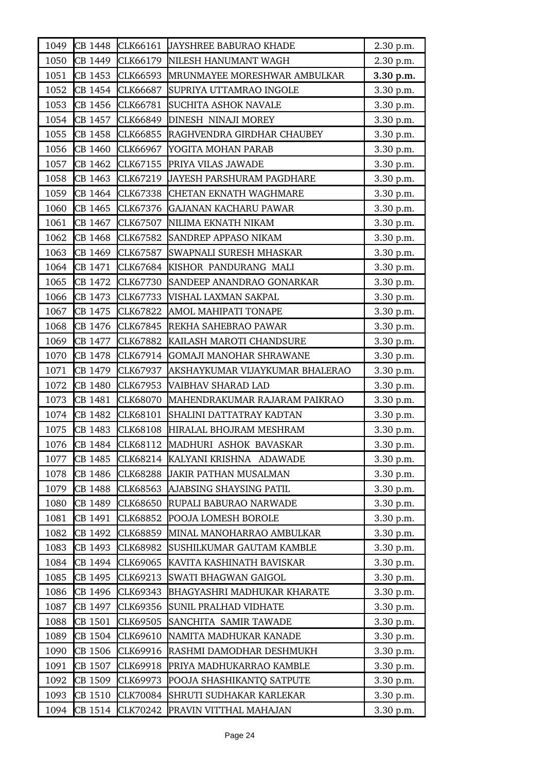| 1049 | CB 1448 | CLK66161        | JAYSHREE BABURAO KHADE             | 2.30 p.m. |
|------|---------|-----------------|------------------------------------|-----------|
| 1050 | CB 1449 | CLK66179        | NILESH HANUMANT WAGH               | 2.30 p.m. |
| 1051 | CB 1453 | CLK66593        | MRUNMAYEE MORESHWAR AMBULKAR       | 3.30 p.m. |
| 1052 | CB 1454 | CLK66687        | SUPRIYA UTTAMRAO INGOLE            | 3.30 p.m. |
| 1053 | CB 1456 | CLK66781        | SUCHITA ASHOK NAVALE               | 3.30 p.m. |
| 1054 | CB 1457 | CLK66849        | DINESH NINAJI MOREY                | 3.30 p.m. |
| 1055 | CB 1458 | CLK66855        | RAGHVENDRA GIRDHAR CHAUBEY         | 3.30 p.m. |
| 1056 | CB 1460 | CLK66967        | YOGITA MOHAN PARAB                 | 3.30 p.m. |
| 1057 | CB 1462 | CLK67155        | PRIYA VILAS JAWADE                 | 3.30 p.m. |
| 1058 | CB 1463 | CLK67219        | <b>JAYESH PARSHURAM PAGDHARE</b>   | 3.30 p.m. |
| 1059 | CB 1464 | <b>CLK67338</b> | <b>CHETAN EKNATH WAGHMARE</b>      | 3.30 p.m. |
| 1060 | CB 1465 | CLK67376        | <b>GAJANAN KACHARU PAWAR</b>       | 3.30 p.m. |
| 1061 | CB 1467 | CLK67507        | NILIMA EKNATH NIKAM                | 3.30 p.m. |
| 1062 | CB 1468 | CLK67582        | <b>SANDREP APPASO NIKAM</b>        | 3.30 p.m. |
| 1063 | CB 1469 | CLK67587        | SWAPNALI SURESH MHASKAR            | 3.30 p.m. |
| 1064 | CB 1471 | CLK67684        | KISHOR PANDURANG MALI              | 3.30 p.m. |
| 1065 | CB 1472 | CLK67730        | SANDEEP ANANDRAO GONARKAR          | 3.30 p.m. |
| 1066 | CB 1473 | CLK67733        | VISHAL LAXMAN SAKPAL               | 3.30 p.m. |
| 1067 | CB 1475 | CLK67822        | AMOL MAHIPATI TONAPE               | 3.30 p.m. |
| 1068 | CB 1476 | CLK67845        | REKHA SAHEBRAO PAWAR               | 3.30 p.m. |
| 1069 | CB 1477 | CLK67882        | KAILASH MAROTI CHANDSURE           | 3.30 p.m. |
| 1070 | CB 1478 | CLK67914        | GOMAJI MANOHAR SHRAWANE            | 3.30 p.m. |
| 1071 | CB 1479 | CLK67937        | AKSHAYKUMAR VIJAYKUMAR BHALERAO    | 3.30 p.m. |
| 1072 | CB 1480 | CLK67953        | VAIBHAV SHARAD LAD                 | 3.30 p.m. |
| 1073 | CB 1481 | CLK68070        | MAHENDRAKUMAR RAJARAM PAIKRAO      | 3.30 p.m. |
| 1074 | CB 1482 | CLK68101        | SHALINI DATTATRAY KADTAN           | 3.30 p.m. |
| 1075 | CB 1483 | CLK68108        | HIRALAL BHOJRAM MESHRAM            | 3.30 p.m. |
| 1076 | CB 1484 | CLK68112        | MADHURI ASHOK BAVASKAR             | 3.30 p.m. |
| 1077 | CB 1485 | CLK68214        | KALYANI KRISHNA ADAWADE            | 3.30 p.m. |
| 1078 | CB 1486 | <b>CLK68288</b> | <b>JAKIR PATHAN MUSALMAN</b>       | 3.30 p.m. |
| 1079 | CB 1488 | CLK68563        | AJABSING SHAYSING PATIL            | 3.30 p.m. |
| 1080 | CB 1489 | CLK68650        | RUPALI BABURAO NARWADE             | 3.30 p.m. |
| 1081 | CB 1491 | CLK68852        | POOJA LOMESH BOROLE                | 3.30 p.m. |
| 1082 | CB 1492 | CLK68859        | MINAL MANOHARRAO AMBULKAR          | 3.30 p.m. |
| 1083 | CB 1493 | CLK68982        | SUSHILKUMAR GAUTAM KAMBLE          | 3.30 p.m. |
| 1084 | CB 1494 | CLK69065        | KAVITA KASHINATH BAVISKAR          | 3.30 p.m. |
| 1085 | CB 1495 | CLK69213        | SWATI BHAGWAN GAIGOL               | 3.30 p.m. |
| 1086 | CB 1496 | CLK69343        | <b>BHAGYASHRI MADHUKAR KHARATE</b> | 3.30 p.m. |
| 1087 | CB 1497 | CLK69356        | SUNIL PRALHAD VIDHATE              | 3.30 p.m. |
| 1088 | CB 1501 | CLK69505        | SANCHITA SAMIR TAWADE              | 3.30 p.m. |
| 1089 | CB 1504 | CLK69610        | NAMITA MADHUKAR KANADE             | 3.30 p.m. |
| 1090 | CB 1506 | CLK69916        | RASHMI DAMODHAR DESHMUKH           | 3.30 p.m. |
| 1091 | CB 1507 | CLK69918        | PRIYA MADHUKARRAO KAMBLE           | 3.30 p.m. |
| 1092 | CB 1509 | CLK69973        | POOJA SHASHIKANTQ SATPUTE          | 3.30 p.m. |
| 1093 | CB 1510 | <b>CLK70084</b> | SHRUTI SUDHAKAR KARLEKAR           | 3.30 p.m. |
| 1094 | CB 1514 | CLK70242        | PRAVIN VITTHAL MAHAJAN             | 3.30 p.m. |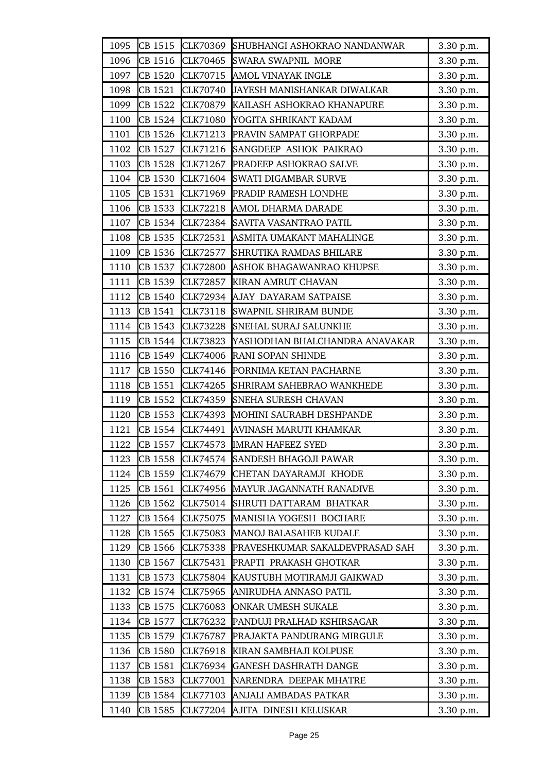| 1095 | CB 1515 | CLK70369        | SHUBHANGI ASHOKRAO NANDANWAR    | 3.30 p.m. |
|------|---------|-----------------|---------------------------------|-----------|
| 1096 | CB 1516 | CLK70465        | <b>SWARA SWAPNIL MORE</b>       | 3.30 p.m. |
| 1097 | CB 1520 | CLK70715        | AMOL VINAYAK INGLE              | 3.30 p.m. |
| 1098 | CB 1521 | <b>CLK70740</b> | JAYESH MANISHANKAR DIWALKAR     | 3.30 p.m. |
| 1099 | CB 1522 | CLK70879        | KAILASH ASHOKRAO KHANAPURE      | 3.30 p.m. |
| 1100 | CB 1524 | <b>CLK71080</b> | YOGITA SHRIKANT KADAM           | 3.30 p.m. |
| 1101 | CB 1526 | CLK71213        | PRAVIN SAMPAT GHORPADE          | 3.30 p.m. |
| 1102 | CB 1527 | CLK71216        | SANGDEEP ASHOK PAIKRAO          | 3.30 p.m. |
| 1103 | CB 1528 | CLK71267        | <b>PRADEEP ASHOKRAO SALVE</b>   | 3.30 p.m. |
| 1104 | CB 1530 | CLK71604        | <b>SWATI DIGAMBAR SURVE</b>     | 3.30 p.m. |
| 1105 | CB 1531 | CLK71969        | <b>PRADIP RAMESH LONDHE</b>     | 3.30 p.m. |
| 1106 | CB 1533 | <b>CLK72218</b> | AMOL DHARMA DARADE              | 3.30 p.m. |
| 1107 | CB 1534 | CLK72384        | SAVITA VASANTRAO PATIL          | 3.30 p.m. |
| 1108 | CB 1535 | CLK72531        | ASMITA UMAKANT MAHALINGE        | 3.30 p.m. |
| 1109 | CB 1536 | CLK72577        | SHRUTIKA RAMDAS BHILARE         | 3.30 p.m. |
| 1110 | CB 1537 | <b>CLK72800</b> | ASHOK BHAGAWANRAO KHUPSE        | 3.30 p.m. |
| 1111 | CB 1539 | <b>CLK72857</b> | KIRAN AMRUT CHAVAN              | 3.30 p.m. |
| 1112 | CB 1540 |                 | CLK72934 AJAY DAYARAM SATPAISE  | 3.30 p.m. |
| 1113 | CB 1541 | CLK73118        | <b>SWAPNIL SHRIRAM BUNDE</b>    | 3.30 p.m. |
| 1114 | CB 1543 | CLK73228        | <b>SNEHAL SURAJ SALUNKHE</b>    | 3.30 p.m. |
| 1115 | CB 1544 | CLK73823        | YASHODHAN BHALCHANDRA ANAVAKAR  | 3.30 p.m. |
| 1116 | CB 1549 | <b>CLK74006</b> | RANI SOPAN SHINDE               | 3.30 p.m. |
| 1117 | CB 1550 | CLK74146        | PORNIMA KETAN PACHARNE          | 3.30 p.m. |
| 1118 | CB 1551 | CLK74265        | SHRIRAM SAHEBRAO WANKHEDE       | 3.30 p.m. |
| 1119 | CB 1552 | CLK74359        | <b>SNEHA SURESH CHAVAN</b>      | 3.30 p.m. |
| 1120 | CB 1553 | CLK74393        | MOHINI SAURABH DESHPANDE        | 3.30 p.m. |
| 1121 | CB 1554 | CLK74491        | AVINASH MARUTI KHAMKAR          | 3.30 p.m. |
| 1122 | CB 1557 | CLK74573        | <b>IMRAN HAFEEZ SYED</b>        | 3.30 p.m. |
| 1123 | CB 1558 | CLK74574        | <b>SANDESH BHAGOJI PAWAR</b>    | 3.30 p.m. |
| 1124 | CB 1559 | CLK74679        | CHETAN DAYARAMJI KHODE          | 3.30 p.m. |
| 1125 | CB 1561 | CLK74956        | MAYUR JAGANNATH RANADIVE        | 3.30 p.m. |
| 1126 | CB 1562 | CLK75014        | SHRUTI DATTARAM BHATKAR         | 3.30 p.m. |
| 1127 | CB 1564 | CLK75075        | MANISHA YOGESH BOCHARE          | 3.30 p.m. |
| 1128 | CB 1565 | <b>CLK75083</b> | <b>MANOJ BALASAHEB KUDALE</b>   | 3.30 p.m. |
| 1129 | CB 1566 | CLK75338        | PRAVESHKUMAR SAKALDEVPRASAD SAH | 3.30 p.m. |
| 1130 | CB 1567 | CLK75431        | PRAPTI PRAKASH GHOTKAR          | 3.30 p.m. |
| 1131 | CB 1573 | CLK75804        | KAUSTUBH MOTIRAMJI GAIKWAD      | 3.30 p.m. |
| 1132 | CB 1574 | CLK75965        | ANIRUDHA ANNASO PATIL           | 3.30 p.m. |
| 1133 | CB 1575 | CLK76083        | ONKAR UMESH SUKALE              | 3.30 p.m. |
| 1134 | CB 1577 | CLK76232        | PANDUJI PRALHAD KSHIRSAGAR      | 3.30 p.m. |
| 1135 | CB 1579 | CLK76787        | PRAJAKTA PANDURANG MIRGULE      | 3.30 p.m. |
| 1136 | CB 1580 | CLK76918        | KIRAN SAMBHAJI KOLPUSE          | 3.30 p.m. |
| 1137 | CB 1581 | CLK76934        | <b>GANESH DASHRATH DANGE</b>    | 3.30 p.m. |
| 1138 | CB 1583 | CLK77001        | NARENDRA DEEPAK MHATRE          | 3.30 p.m. |
| 1139 | CB 1584 | CLK77103        | ANJALI AMBADAS PATKAR           | 3.30 p.m. |
| 1140 | CB 1585 | CLK77204        | AJITA DINESH KELUSKAR           | 3.30 p.m. |